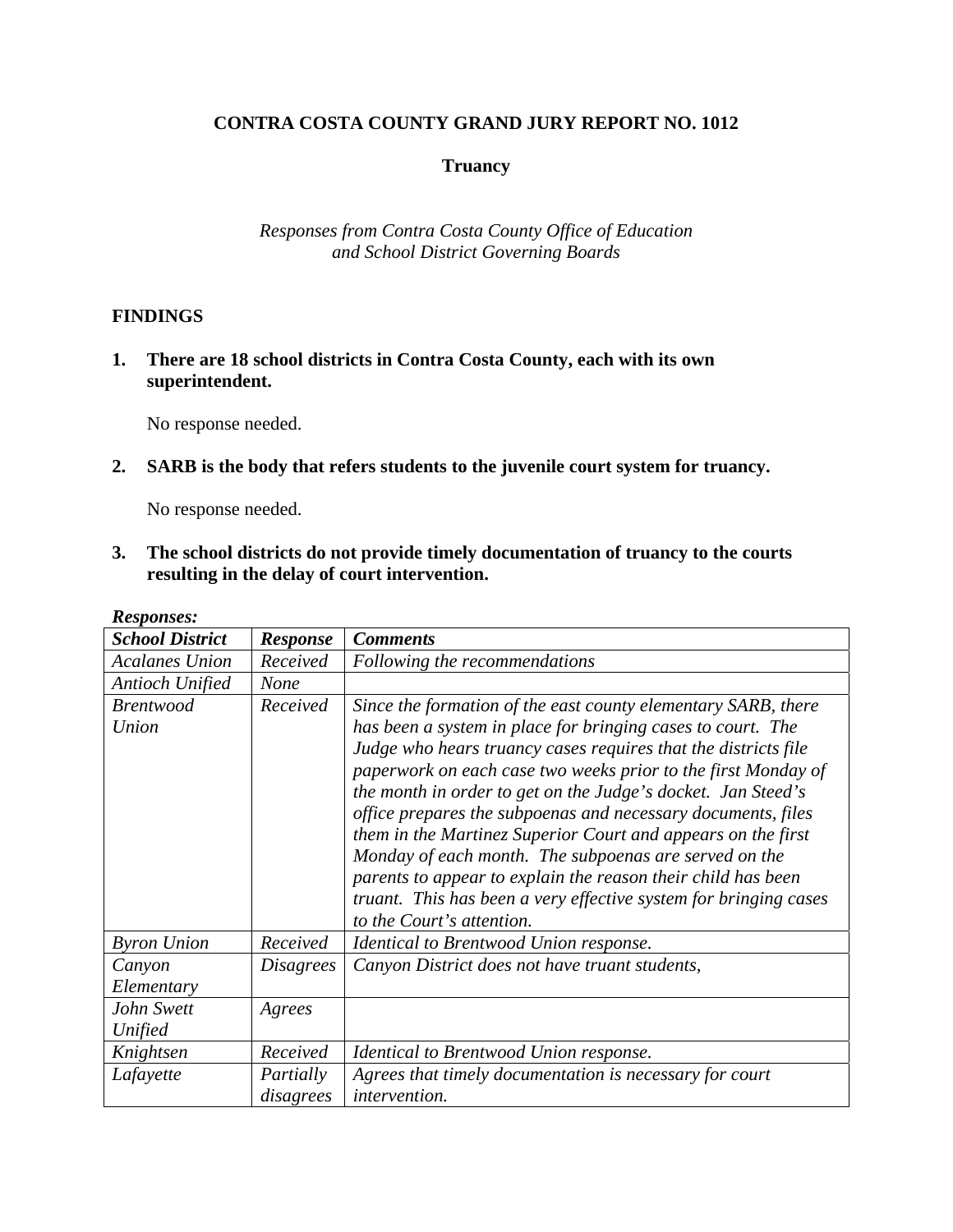## **CONTRA COSTA COUNTY GRAND JURY REPORT NO. 1012**

### **Truancy**

*Responses from Contra Costa County Office of Education and School District Governing Boards* 

#### **FINDINGS**

**1. There are 18 school districts in Contra Costa County, each with its own superintendent.** 

No response needed.

#### **2. SARB is the body that refers students to the juvenile court system for truancy.**

No response needed.

**3. The school districts do not provide timely documentation of truancy to the courts resulting in the delay of court intervention.** 

| <b>Responses:</b>         |                        |                                                                                                                                                                                                                                                                                                                                                                                                                                                                                                                                                                                                                                                                                           |
|---------------------------|------------------------|-------------------------------------------------------------------------------------------------------------------------------------------------------------------------------------------------------------------------------------------------------------------------------------------------------------------------------------------------------------------------------------------------------------------------------------------------------------------------------------------------------------------------------------------------------------------------------------------------------------------------------------------------------------------------------------------|
| <b>School District</b>    | <b>Response</b>        | <b>Comments</b>                                                                                                                                                                                                                                                                                                                                                                                                                                                                                                                                                                                                                                                                           |
| <b>Acalanes Union</b>     | Received               | Following the recommendations                                                                                                                                                                                                                                                                                                                                                                                                                                                                                                                                                                                                                                                             |
| <b>Antioch Unified</b>    | <b>None</b>            |                                                                                                                                                                                                                                                                                                                                                                                                                                                                                                                                                                                                                                                                                           |
| <b>Brentwood</b><br>Union | Received               | Since the formation of the east county elementary SARB, there<br>has been a system in place for bringing cases to court. The<br>Judge who hears truancy cases requires that the districts file<br>paperwork on each case two weeks prior to the first Monday of<br>the month in order to get on the Judge's docket. Jan Steed's<br>office prepares the subpoenas and necessary documents, files<br>them in the Martinez Superior Court and appears on the first<br>Monday of each month. The subpoenas are served on the<br>parents to appear to explain the reason their child has been<br>truant. This has been a very effective system for bringing cases<br>to the Court's attention. |
| <b>Byron Union</b>        | Received               | Identical to Brentwood Union response.                                                                                                                                                                                                                                                                                                                                                                                                                                                                                                                                                                                                                                                    |
| Canyon<br>Elementary      | <i>Disagrees</i>       | Canyon District does not have truant students,                                                                                                                                                                                                                                                                                                                                                                                                                                                                                                                                                                                                                                            |
| John Swett<br>Unified     | Agrees                 |                                                                                                                                                                                                                                                                                                                                                                                                                                                                                                                                                                                                                                                                                           |
| Knightsen                 | Received               | Identical to Brentwood Union response.                                                                                                                                                                                                                                                                                                                                                                                                                                                                                                                                                                                                                                                    |
| Lafayette                 | Partially<br>disagrees | Agrees that timely documentation is necessary for court<br><i>intervention.</i>                                                                                                                                                                                                                                                                                                                                                                                                                                                                                                                                                                                                           |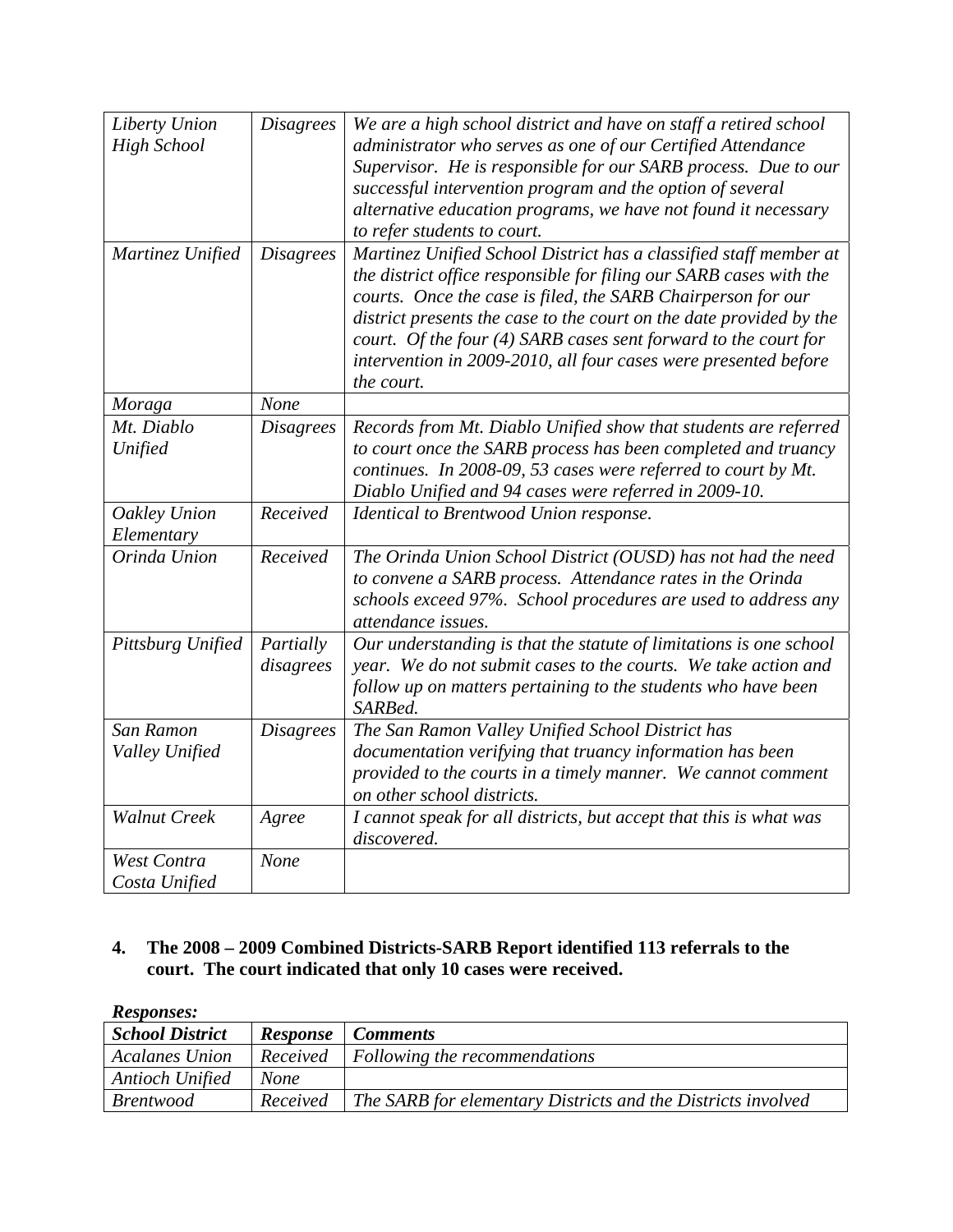| Liberty Union       | <b>Disagrees</b> | We are a high school district and have on staff a retired school    |
|---------------------|------------------|---------------------------------------------------------------------|
| <b>High School</b>  |                  | administrator who serves as one of our Certified Attendance         |
|                     |                  | Supervisor. He is responsible for our SARB process. Due to our      |
|                     |                  | successful intervention program and the option of several           |
|                     |                  | alternative education programs, we have not found it necessary      |
|                     |                  | to refer students to court.                                         |
| Martinez Unified    | <b>Disagrees</b> | Martinez Unified School District has a classified staff member at   |
|                     |                  | the district office responsible for filing our SARB cases with the  |
|                     |                  | courts. Once the case is filed, the SARB Chairperson for our        |
|                     |                  | district presents the case to the court on the date provided by the |
|                     |                  | court. Of the four (4) SARB cases sent forward to the court for     |
|                     |                  | intervention in 2009-2010, all four cases were presented before     |
|                     |                  | the court.                                                          |
| Moraga              | None             |                                                                     |
| Mt. Diablo          | <b>Disagrees</b> | Records from Mt. Diablo Unified show that students are referred     |
| Unified             |                  | to court once the SARB process has been completed and truancy       |
|                     |                  | continues. In 2008-09, 53 cases were referred to court by Mt.       |
|                     |                  | Diablo Unified and 94 cases were referred in 2009-10.               |
| Oakley Union        | Received         | Identical to Brentwood Union response.                              |
| Elementary          |                  |                                                                     |
| Orinda Union        | Received         | The Orinda Union School District (OUSD) has not had the need        |
|                     |                  | to convene a SARB process. Attendance rates in the Orinda           |
|                     |                  | schools exceed 97%. School procedures are used to address any       |
|                     |                  | attendance issues.                                                  |
| Pittsburg Unified   | Partially        | Our understanding is that the statute of limitations is one school  |
|                     | disagrees        | year. We do not submit cases to the courts. We take action and      |
|                     |                  | follow up on matters pertaining to the students who have been       |
|                     |                  | SARBed.                                                             |
| San Ramon           | <b>Disagrees</b> | The San Ramon Valley Unified School District has                    |
| Valley Unified      |                  | documentation verifying that truancy information has been           |
|                     |                  | provided to the courts in a timely manner. We cannot comment        |
|                     |                  | on other school districts.                                          |
| <b>Walnut Creek</b> | Agree            | I cannot speak for all districts, but accept that this is what was  |
|                     |                  | discovered.                                                         |
| <b>West Contra</b>  | None             |                                                                     |
| Costa Unified       |                  |                                                                     |

# **4. The 2008 – 2009 Combined Districts-SARB Report identified 113 referrals to the court. The court indicated that only 10 cases were received.**

| <b>Responses:</b>      |                 |                                                              |
|------------------------|-----------------|--------------------------------------------------------------|
| <b>School District</b> | <b>Response</b> | <i>Comments</i>                                              |
| <b>Acalanes Union</b>  | Received        | <i>Following the recommendations</i>                         |
| Antioch Unified        | <b>None</b>     |                                                              |
| <i>Brentwood</i>       | Received        | The SARB for elementary Districts and the Districts involved |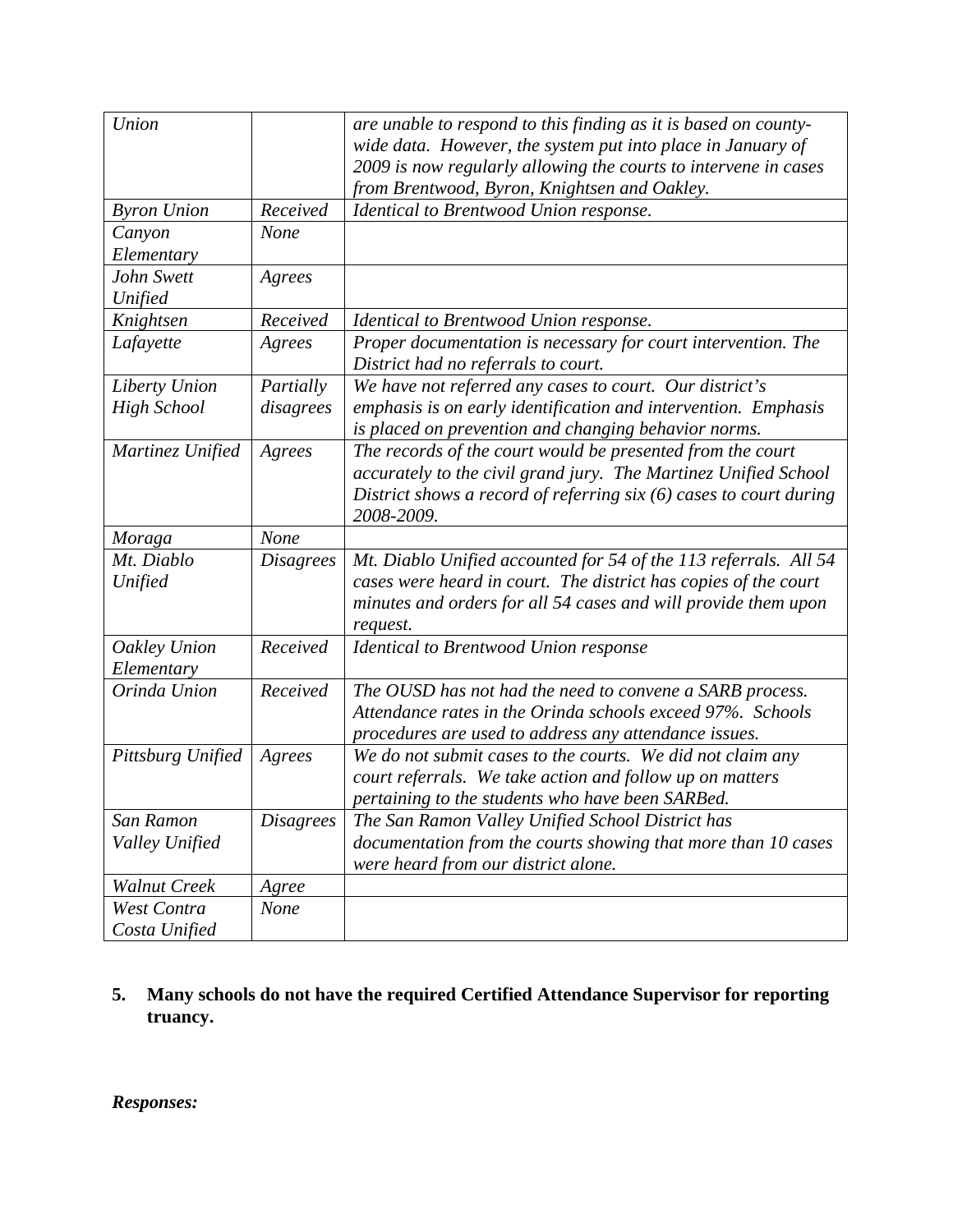| Union               |                  | are unable to respond to this finding as it is based on county-<br>wide data. However, the system put into place in January of<br>2009 is now regularly allowing the courts to intervene in cases<br>from Brentwood, Byron, Knightsen and Oakley. |
|---------------------|------------------|---------------------------------------------------------------------------------------------------------------------------------------------------------------------------------------------------------------------------------------------------|
| <b>Byron Union</b>  | Received         | Identical to Brentwood Union response.                                                                                                                                                                                                            |
| Canyon              | None             |                                                                                                                                                                                                                                                   |
| Elementary          |                  |                                                                                                                                                                                                                                                   |
| John Swett          | Agrees           |                                                                                                                                                                                                                                                   |
| Unified             |                  |                                                                                                                                                                                                                                                   |
| Knightsen           | Received         | Identical to Brentwood Union response.                                                                                                                                                                                                            |
| Lafayette           | Agrees           | Proper documentation is necessary for court intervention. The                                                                                                                                                                                     |
|                     |                  | District had no referrals to court.                                                                                                                                                                                                               |
| Liberty Union       | Partially        | We have not referred any cases to court. Our district's                                                                                                                                                                                           |
| <b>High School</b>  | disagrees        | emphasis is on early identification and intervention. Emphasis                                                                                                                                                                                    |
|                     |                  | is placed on prevention and changing behavior norms.                                                                                                                                                                                              |
| Martinez Unified    | Agrees           | The records of the court would be presented from the court                                                                                                                                                                                        |
|                     |                  | accurately to the civil grand jury. The Martinez Unified School                                                                                                                                                                                   |
|                     |                  | District shows a record of referring $six(6)$ cases to court during                                                                                                                                                                               |
|                     |                  | 2008-2009.                                                                                                                                                                                                                                        |
| Moraga              | None             |                                                                                                                                                                                                                                                   |
| Mt. Diablo          | <i>Disagrees</i> | Mt. Diablo Unified accounted for 54 of the 113 referrals. All 54                                                                                                                                                                                  |
| Unified             |                  | cases were heard in court. The district has copies of the court                                                                                                                                                                                   |
|                     |                  | minutes and orders for all 54 cases and will provide them upon                                                                                                                                                                                    |
| Oakley Union        | Received         | request.<br><b>Identical to Brentwood Union response</b>                                                                                                                                                                                          |
| Elementary          |                  |                                                                                                                                                                                                                                                   |
| Orinda Union        | Received         | The OUSD has not had the need to convene a SARB process.                                                                                                                                                                                          |
|                     |                  | Attendance rates in the Orinda schools exceed 97%. Schools                                                                                                                                                                                        |
|                     |                  | procedures are used to address any attendance issues.                                                                                                                                                                                             |
| Pittsburg Unified   | Agrees           | We do not submit cases to the courts. We did not claim any                                                                                                                                                                                        |
|                     |                  | court referrals. We take action and follow up on matters                                                                                                                                                                                          |
|                     |                  | pertaining to the students who have been SARBed.                                                                                                                                                                                                  |
| San Ramon           | <b>Disagrees</b> | The San Ramon Valley Unified School District has                                                                                                                                                                                                  |
| Valley Unified      |                  | documentation from the courts showing that more than 10 cases                                                                                                                                                                                     |
|                     |                  | were heard from our district alone.                                                                                                                                                                                                               |
| <b>Walnut Creek</b> | Agree            |                                                                                                                                                                                                                                                   |
| West Contra         | <b>None</b>      |                                                                                                                                                                                                                                                   |
| Costa Unified       |                  |                                                                                                                                                                                                                                                   |

**5. Many schools do not have the required Certified Attendance Supervisor for reporting truancy.**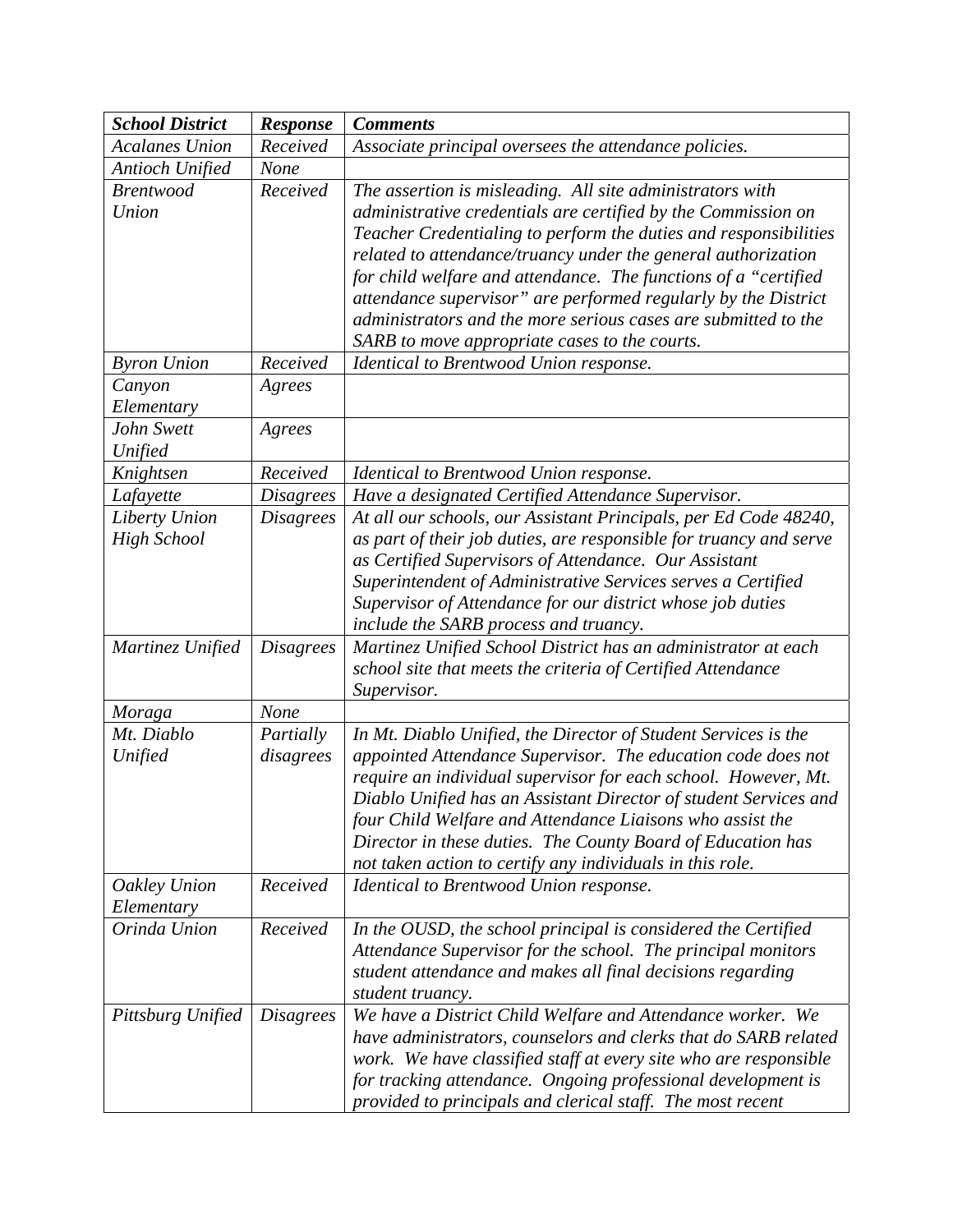| <b>School District</b>              | <b>Response</b>        | <b>Comments</b>                                                                                                                                                                                                                                                                                                                                                                                                                                                                                                         |
|-------------------------------------|------------------------|-------------------------------------------------------------------------------------------------------------------------------------------------------------------------------------------------------------------------------------------------------------------------------------------------------------------------------------------------------------------------------------------------------------------------------------------------------------------------------------------------------------------------|
| <b>Acalanes Union</b>               | Received               | Associate principal oversees the attendance policies.                                                                                                                                                                                                                                                                                                                                                                                                                                                                   |
| <b>Antioch Unified</b>              | None                   |                                                                                                                                                                                                                                                                                                                                                                                                                                                                                                                         |
| <b>Brentwood</b><br>Union           | Received               | The assertion is misleading. All site administrators with<br>administrative credentials are certified by the Commission on<br>Teacher Credentialing to perform the duties and responsibilities<br>related to attendance/truancy under the general authorization<br>for child welfare and attendance. The functions of a "certified<br>attendance supervisor" are performed regularly by the District<br>administrators and the more serious cases are submitted to the<br>SARB to move appropriate cases to the courts. |
| <b>Byron Union</b>                  | Received               | Identical to Brentwood Union response.                                                                                                                                                                                                                                                                                                                                                                                                                                                                                  |
| Canyon                              | Agrees                 |                                                                                                                                                                                                                                                                                                                                                                                                                                                                                                                         |
| Elementary                          |                        |                                                                                                                                                                                                                                                                                                                                                                                                                                                                                                                         |
| John Swett                          | Agrees                 |                                                                                                                                                                                                                                                                                                                                                                                                                                                                                                                         |
| Unified                             |                        |                                                                                                                                                                                                                                                                                                                                                                                                                                                                                                                         |
| Knightsen                           | Received               | Identical to Brentwood Union response.                                                                                                                                                                                                                                                                                                                                                                                                                                                                                  |
| Lafayette                           | <b>Disagrees</b>       | Have a designated Certified Attendance Supervisor.                                                                                                                                                                                                                                                                                                                                                                                                                                                                      |
| Liberty Union<br><b>High School</b> | <b>Disagrees</b>       | At all our schools, our Assistant Principals, per Ed Code 48240,<br>as part of their job duties, are responsible for truancy and serve<br>as Certified Supervisors of Attendance. Our Assistant<br>Superintendent of Administrative Services serves a Certified<br>Supervisor of Attendance for our district whose job duties<br>include the SARB process and truancy.                                                                                                                                                  |
| Martinez Unified                    | <b>Disagrees</b>       | Martinez Unified School District has an administrator at each<br>school site that meets the criteria of Certified Attendance<br>Supervisor.                                                                                                                                                                                                                                                                                                                                                                             |
| Moraga                              | None                   |                                                                                                                                                                                                                                                                                                                                                                                                                                                                                                                         |
| Mt. Diablo<br>Unified               | Partially<br>disagrees | In Mt. Diablo Unified, the Director of Student Services is the<br>appointed Attendance Supervisor. The education code does not                                                                                                                                                                                                                                                                                                                                                                                          |
|                                     |                        | require an individual supervisor for each school. However, Mt.<br>Diablo Unified has an Assistant Director of student Services and<br>four Child Welfare and Attendance Liaisons who assist the<br>Director in these duties. The County Board of Education has<br>not taken action to certify any individuals in this role.                                                                                                                                                                                             |
| Oakley Union<br>Elementary          | Received               | Identical to Brentwood Union response.                                                                                                                                                                                                                                                                                                                                                                                                                                                                                  |
| Orinda Union                        | Received               | In the OUSD, the school principal is considered the Certified<br>Attendance Supervisor for the school. The principal monitors<br>student attendance and makes all final decisions regarding<br>student truancy.                                                                                                                                                                                                                                                                                                         |
| Pittsburg Unified                   | <i>Disagrees</i>       | We have a District Child Welfare and Attendance worker. We<br>have administrators, counselors and clerks that do SARB related<br>work. We have classified staff at every site who are responsible<br>for tracking attendance. Ongoing professional development is<br>provided to principals and clerical staff. The most recent                                                                                                                                                                                         |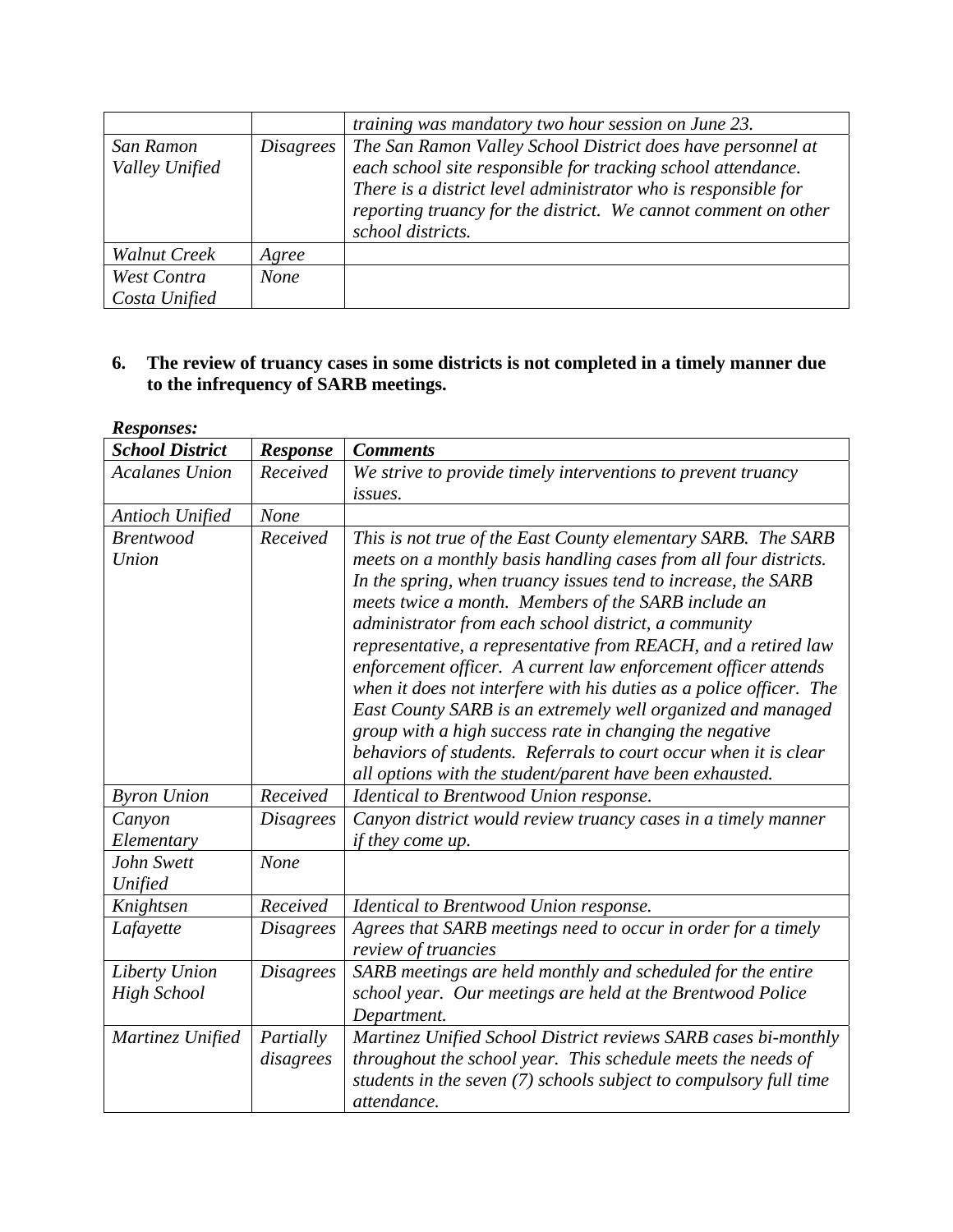|                             |             | training was mandatory two hour session on June 23.                                                                                                                                                                                                                                  |
|-----------------------------|-------------|--------------------------------------------------------------------------------------------------------------------------------------------------------------------------------------------------------------------------------------------------------------------------------------|
| San Ramon<br>Valley Unified | Disagrees   | The San Ramon Valley School District does have personnel at<br>each school site responsible for tracking school attendance.<br>There is a district level administrator who is responsible for<br>reporting truancy for the district. We cannot comment on other<br>school districts. |
| <b>Walnut Creek</b>         | Agree       |                                                                                                                                                                                                                                                                                      |
| West Contra                 | <b>None</b> |                                                                                                                                                                                                                                                                                      |
| Costa Unified               |             |                                                                                                                                                                                                                                                                                      |

## **6. The review of truancy cases in some districts is not completed in a timely manner due to the infrequency of SARB meetings.**

| <b>Responses:</b>                   |                        |                                                                                                                                                                                                                                                                                                                                                                                                                                                                                                                                                                                                                                                                                                                                                                                        |
|-------------------------------------|------------------------|----------------------------------------------------------------------------------------------------------------------------------------------------------------------------------------------------------------------------------------------------------------------------------------------------------------------------------------------------------------------------------------------------------------------------------------------------------------------------------------------------------------------------------------------------------------------------------------------------------------------------------------------------------------------------------------------------------------------------------------------------------------------------------------|
| <b>School District</b>              | <b>Response</b>        | <b>Comments</b>                                                                                                                                                                                                                                                                                                                                                                                                                                                                                                                                                                                                                                                                                                                                                                        |
| <b>Acalanes Union</b>               | Received               | We strive to provide timely interventions to prevent truancy                                                                                                                                                                                                                                                                                                                                                                                                                                                                                                                                                                                                                                                                                                                           |
|                                     |                        | issues.                                                                                                                                                                                                                                                                                                                                                                                                                                                                                                                                                                                                                                                                                                                                                                                |
| <b>Antioch Unified</b>              | None                   |                                                                                                                                                                                                                                                                                                                                                                                                                                                                                                                                                                                                                                                                                                                                                                                        |
| <b>Brentwood</b><br>Union           | Received               | This is not true of the East County elementary SARB. The SARB<br>meets on a monthly basis handling cases from all four districts.<br>In the spring, when truancy issues tend to increase, the SARB<br>meets twice a month. Members of the SARB include an<br>administrator from each school district, a community<br>representative, a representative from REACH, and a retired law<br>enforcement officer. A current law enforcement officer attends<br>when it does not interfere with his duties as a police officer. The<br>East County SARB is an extremely well organized and managed<br>group with a high success rate in changing the negative<br>behaviors of students. Referrals to court occur when it is clear<br>all options with the student/parent have been exhausted. |
| <b>Byron Union</b>                  | Received               | Identical to Brentwood Union response.                                                                                                                                                                                                                                                                                                                                                                                                                                                                                                                                                                                                                                                                                                                                                 |
| Canyon<br>Elementary                | <b>Disagrees</b>       | Canyon district would review truancy cases in a timely manner<br><i>if they come up.</i>                                                                                                                                                                                                                                                                                                                                                                                                                                                                                                                                                                                                                                                                                               |
| John Swett<br>Unified               | None                   |                                                                                                                                                                                                                                                                                                                                                                                                                                                                                                                                                                                                                                                                                                                                                                                        |
| Knightsen                           | Received               | Identical to Brentwood Union response.                                                                                                                                                                                                                                                                                                                                                                                                                                                                                                                                                                                                                                                                                                                                                 |
| Lafayette                           | <b>Disagrees</b>       | Agrees that SARB meetings need to occur in order for a timely<br>review of truancies                                                                                                                                                                                                                                                                                                                                                                                                                                                                                                                                                                                                                                                                                                   |
| Liberty Union<br><b>High School</b> | <b>Disagrees</b>       | SARB meetings are held monthly and scheduled for the entire<br>school year. Our meetings are held at the Brentwood Police<br>Department.                                                                                                                                                                                                                                                                                                                                                                                                                                                                                                                                                                                                                                               |
| Martinez Unified                    | Partially<br>disagrees | Martinez Unified School District reviews SARB cases bi-monthly<br>throughout the school year. This schedule meets the needs of<br>students in the seven (7) schools subject to compulsory full time<br>attendance.                                                                                                                                                                                                                                                                                                                                                                                                                                                                                                                                                                     |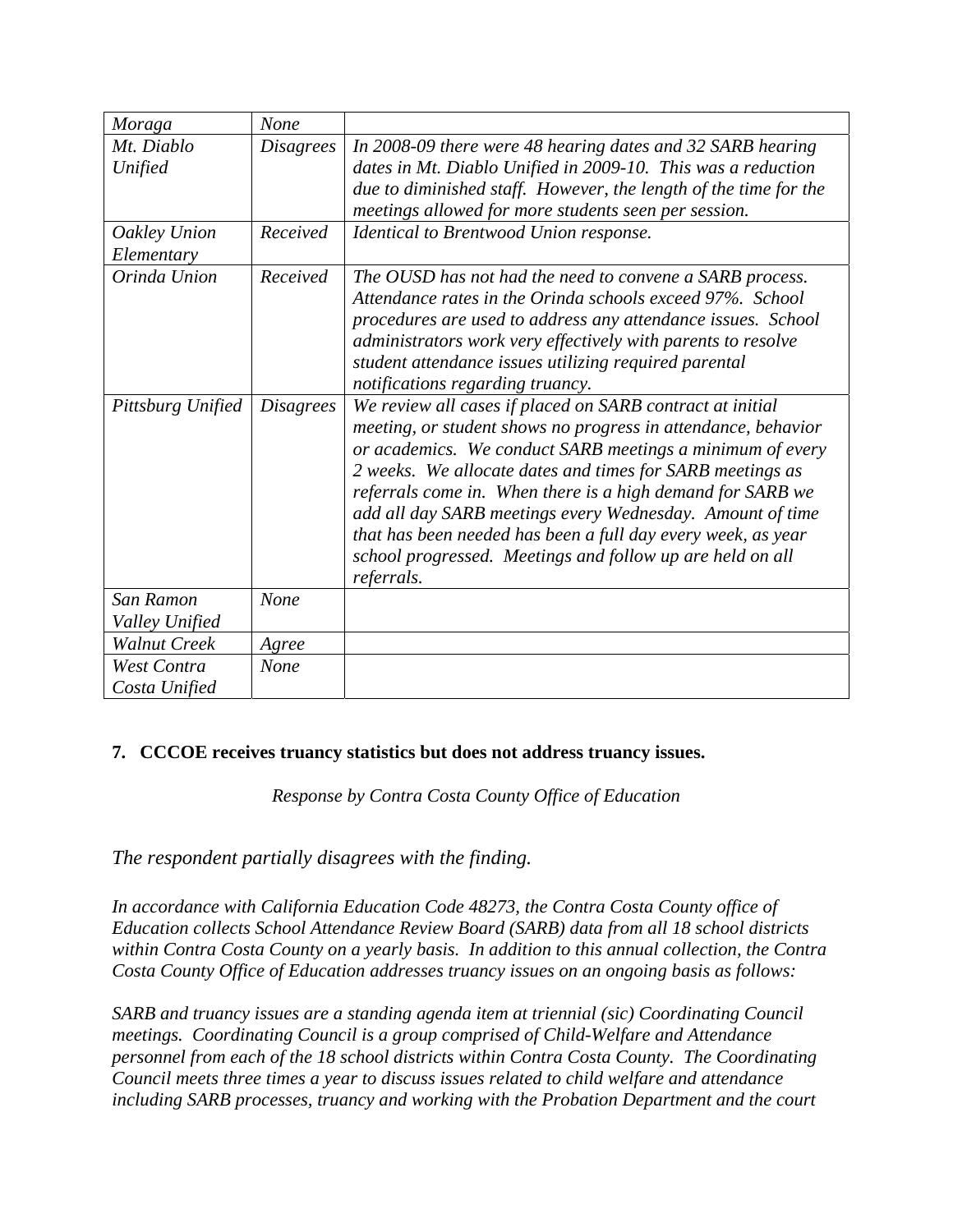| Moraga                       | None             |                                                                                                                                                                                                                                                                                                                                                                                                                                                                                                                            |
|------------------------------|------------------|----------------------------------------------------------------------------------------------------------------------------------------------------------------------------------------------------------------------------------------------------------------------------------------------------------------------------------------------------------------------------------------------------------------------------------------------------------------------------------------------------------------------------|
| Mt. Diablo<br>Unified        | <b>Disagrees</b> | In 2008-09 there were 48 hearing dates and 32 SARB hearing<br>dates in Mt. Diablo Unified in 2009-10. This was a reduction<br>due to diminished staff. However, the length of the time for the<br>meetings allowed for more students seen per session.                                                                                                                                                                                                                                                                     |
| Oakley Union<br>Elementary   | Received         | Identical to Brentwood Union response.                                                                                                                                                                                                                                                                                                                                                                                                                                                                                     |
| Orinda Union                 | Received         | The OUSD has not had the need to convene a SARB process.<br>Attendance rates in the Orinda schools exceed 97%. School<br>procedures are used to address any attendance issues. School<br>administrators work very effectively with parents to resolve<br>student attendance issues utilizing required parental<br>notifications regarding truancy.                                                                                                                                                                         |
| Pittsburg Unified            | <i>Disagrees</i> | We review all cases if placed on SARB contract at initial<br>meeting, or student shows no progress in attendance, behavior<br>or academics. We conduct SARB meetings a minimum of every<br>2 weeks. We allocate dates and times for SARB meetings as<br>referrals come in. When there is a high demand for SARB we<br>add all day SARB meetings every Wednesday. Amount of time<br>that has been needed has been a full day every week, as year<br>school progressed. Meetings and follow up are held on all<br>referrals. |
| San Ramon<br>Valley Unified  | <b>None</b>      |                                                                                                                                                                                                                                                                                                                                                                                                                                                                                                                            |
| <b>Walnut Creek</b>          | Agree            |                                                                                                                                                                                                                                                                                                                                                                                                                                                                                                                            |
| West Contra<br>Costa Unified | None             |                                                                                                                                                                                                                                                                                                                                                                                                                                                                                                                            |

## **7. CCCOE receives truancy statistics but does not address truancy issues.**

*Response by Contra Costa County Office of Education* 

*The respondent partially disagrees with the finding.* 

*In accordance with California Education Code 48273, the Contra Costa County office of Education collects School Attendance Review Board (SARB) data from all 18 school districts within Contra Costa County on a yearly basis. In addition to this annual collection, the Contra Costa County Office of Education addresses truancy issues on an ongoing basis as follows:* 

*SARB and truancy issues are a standing agenda item at triennial (sic) Coordinating Council meetings. Coordinating Council is a group comprised of Child-Welfare and Attendance personnel from each of the 18 school districts within Contra Costa County. The Coordinating Council meets three times a year to discuss issues related to child welfare and attendance including SARB processes, truancy and working with the Probation Department and the court*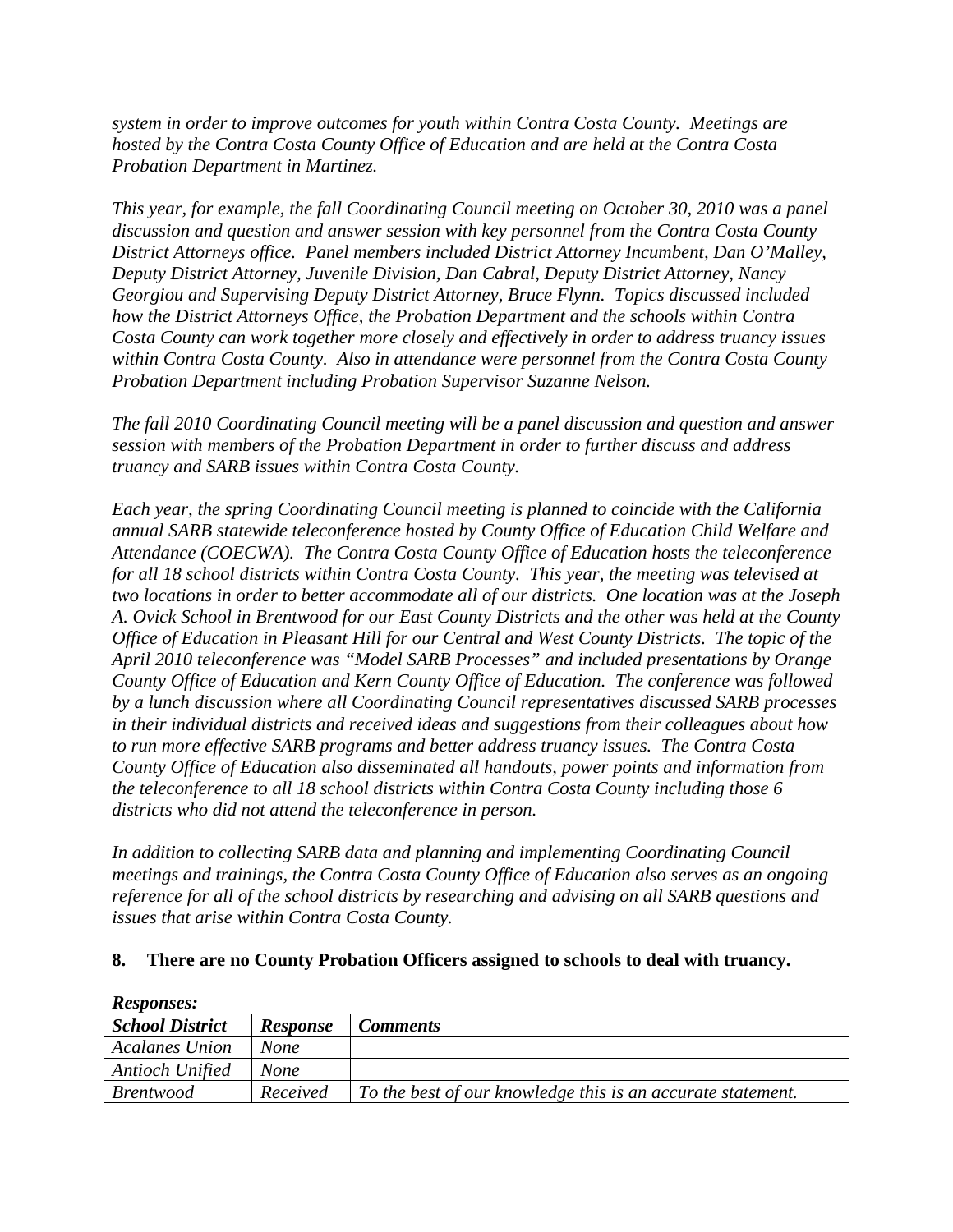*system in order to improve outcomes for youth within Contra Costa County. Meetings are hosted by the Contra Costa County Office of Education and are held at the Contra Costa Probation Department in Martinez.* 

*This year, for example, the fall Coordinating Council meeting on October 30, 2010 was a panel discussion and question and answer session with key personnel from the Contra Costa County District Attorneys office. Panel members included District Attorney Incumbent, Dan O'Malley, Deputy District Attorney, Juvenile Division, Dan Cabral, Deputy District Attorney, Nancy Georgiou and Supervising Deputy District Attorney, Bruce Flynn. Topics discussed included how the District Attorneys Office, the Probation Department and the schools within Contra Costa County can work together more closely and effectively in order to address truancy issues within Contra Costa County. Also in attendance were personnel from the Contra Costa County Probation Department including Probation Supervisor Suzanne Nelson.* 

*The fall 2010 Coordinating Council meeting will be a panel discussion and question and answer session with members of the Probation Department in order to further discuss and address truancy and SARB issues within Contra Costa County.* 

*Each year, the spring Coordinating Council meeting is planned to coincide with the California annual SARB statewide teleconference hosted by County Office of Education Child Welfare and Attendance (COECWA). The Contra Costa County Office of Education hosts the teleconference for all 18 school districts within Contra Costa County. This year, the meeting was televised at two locations in order to better accommodate all of our districts. One location was at the Joseph A. Ovick School in Brentwood for our East County Districts and the other was held at the County Office of Education in Pleasant Hill for our Central and West County Districts. The topic of the April 2010 teleconference was "Model SARB Processes" and included presentations by Orange County Office of Education and Kern County Office of Education. The conference was followed by a lunch discussion where all Coordinating Council representatives discussed SARB processes in their individual districts and received ideas and suggestions from their colleagues about how to run more effective SARB programs and better address truancy issues. The Contra Costa County Office of Education also disseminated all handouts, power points and information from the teleconference to all 18 school districts within Contra Costa County including those 6 districts who did not attend the teleconference in person.* 

*In addition to collecting SARB data and planning and implementing Coordinating Council meetings and trainings, the Contra Costa County Office of Education also serves as an ongoing reference for all of the school districts by researching and advising on all SARB questions and issues that arise within Contra Costa County.* 

### **8. There are no County Probation Officers assigned to schools to deal with truancy.**

| *** <i>*******</i> **  |                 |                                                             |
|------------------------|-----------------|-------------------------------------------------------------|
| <b>School District</b> | <b>Response</b> | <b>Comments</b>                                             |
| <b>Acalanes Union</b>  | <b>None</b>     |                                                             |
| <b>Antioch Unified</b> | <b>None</b>     |                                                             |
| <i>Brentwood</i>       | Received        | To the best of our knowledge this is an accurate statement. |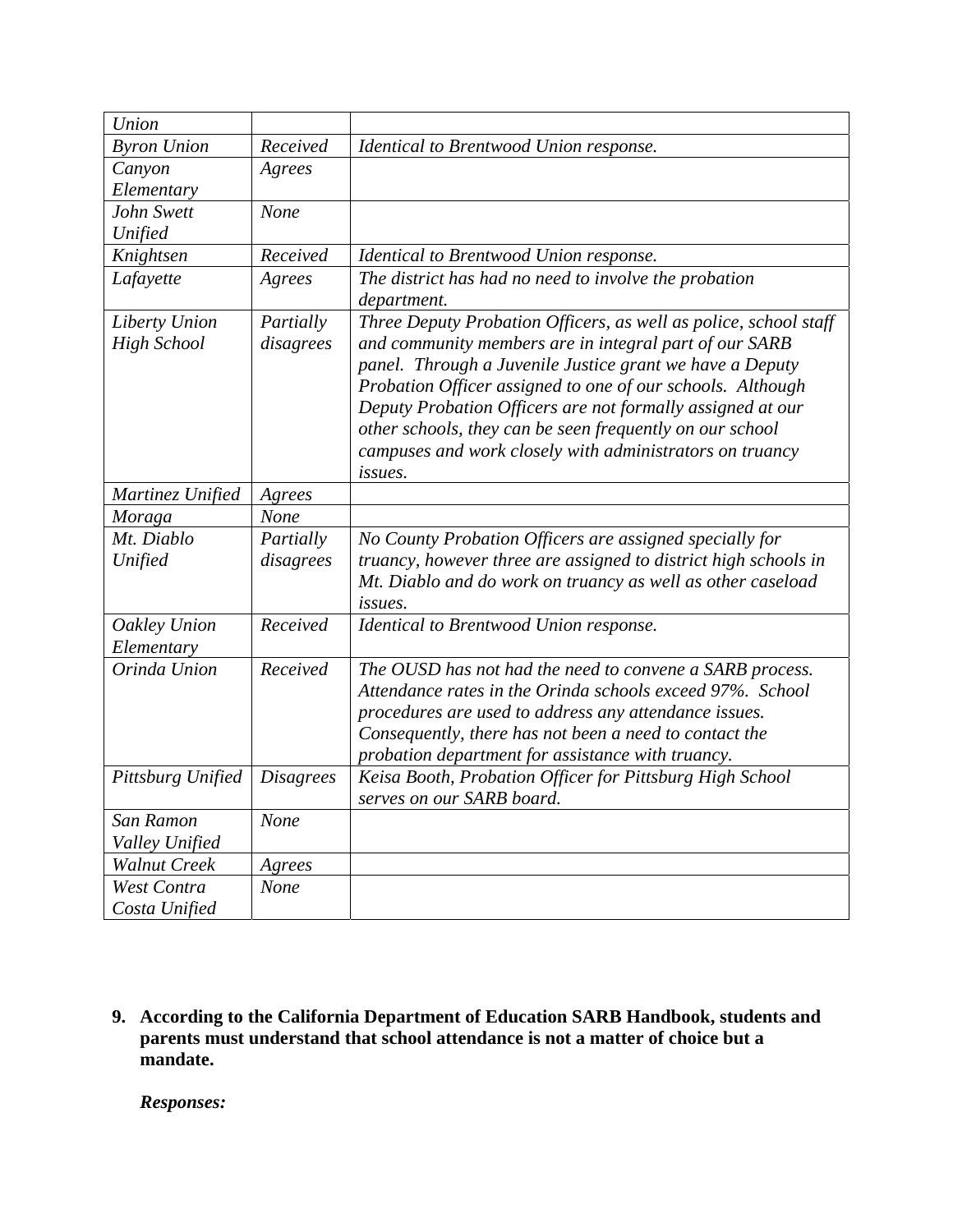| Union                      |                  |                                                                  |
|----------------------------|------------------|------------------------------------------------------------------|
| <b>Byron Union</b>         | Received         | Identical to Brentwood Union response.                           |
| Canyon                     | Agrees           |                                                                  |
| Elementary                 |                  |                                                                  |
| John Swett                 | None             |                                                                  |
| Unified                    |                  |                                                                  |
| Knightsen                  | Received         | Identical to Brentwood Union response.                           |
| Lafayette                  | Agrees           | The district has had no need to involve the probation            |
|                            |                  | department.                                                      |
| Liberty Union              | Partially        | Three Deputy Probation Officers, as well as police, school staff |
| <b>High School</b>         | disagrees        | and community members are in integral part of our SARB           |
|                            |                  | panel. Through a Juvenile Justice grant we have a Deputy         |
|                            |                  | Probation Officer assigned to one of our schools. Although       |
|                            |                  | Deputy Probation Officers are not formally assigned at our       |
|                            |                  | other schools, they can be seen frequently on our school         |
|                            |                  | campuses and work closely with administrators on truancy         |
|                            |                  | issues.                                                          |
| Martinez Unified           | Agrees           |                                                                  |
| Moraga                     | None             |                                                                  |
| Mt. Diablo                 | Partially        | No County Probation Officers are assigned specially for          |
| Unified                    | disagrees        | truancy, however three are assigned to district high schools in  |
|                            |                  | Mt. Diablo and do work on truancy as well as other caseload      |
|                            |                  | <i>issues.</i>                                                   |
| Oakley Union               | Received         | Identical to Brentwood Union response.                           |
| Elementary<br>Orinda Union | Received         | The OUSD has not had the need to convene a SARB process.         |
|                            |                  | Attendance rates in the Orinda schools exceed 97%. School        |
|                            |                  | procedures are used to address any attendance issues.            |
|                            |                  | Consequently, there has not been a need to contact the           |
|                            |                  | probation department for assistance with truancy.                |
| Pittsburg Unified          | <b>Disagrees</b> | Keisa Booth, Probation Officer for Pittsburg High School         |
|                            |                  | serves on our SARB board.                                        |
| San Ramon                  | None             |                                                                  |
| Valley Unified             |                  |                                                                  |
| <b>Walnut Creek</b>        | Agrees           |                                                                  |
| West Contra                | None             |                                                                  |
| Costa Unified              |                  |                                                                  |

**9. According to the California Department of Education SARB Handbook, students and parents must understand that school attendance is not a matter of choice but a mandate.**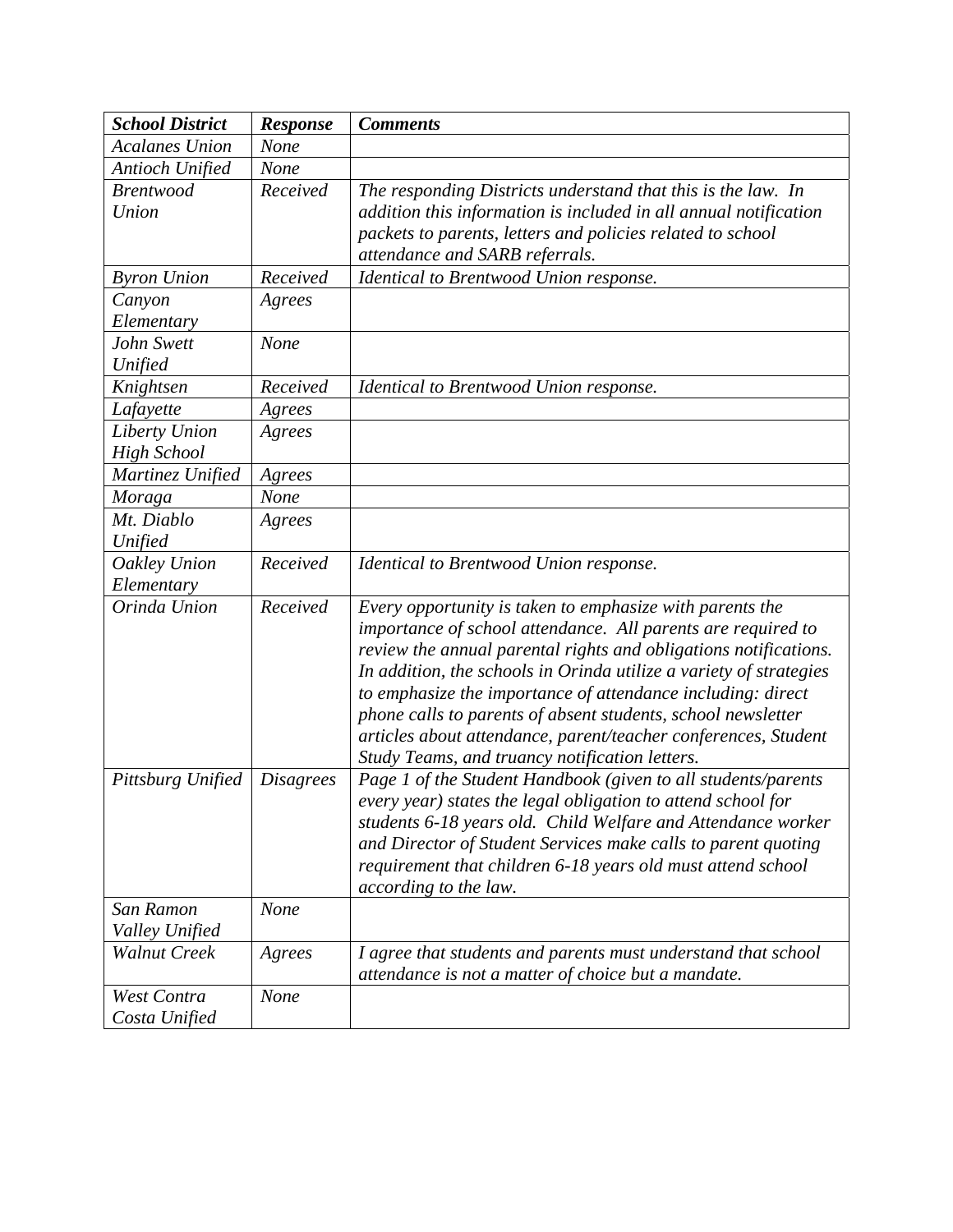| <b>School District</b> | Response         | <b>Comments</b>                                                    |
|------------------------|------------------|--------------------------------------------------------------------|
| <b>Acalanes Union</b>  | None             |                                                                    |
| Antioch Unified        | None             |                                                                    |
| <b>Brentwood</b>       | Received         | The responding Districts understand that this is the law. In       |
| Union                  |                  | addition this information is included in all annual notification   |
|                        |                  | packets to parents, letters and policies related to school         |
|                        |                  | attendance and SARB referrals.                                     |
| <b>Byron Union</b>     | Received         | Identical to Brentwood Union response.                             |
| Canyon                 | Agrees           |                                                                    |
| Elementary             |                  |                                                                    |
| John Swett             | None             |                                                                    |
| Unified                |                  |                                                                    |
| Knightsen              | Received         | Identical to Brentwood Union response.                             |
| Lafayette              | Agrees           |                                                                    |
| Liberty Union          | Agrees           |                                                                    |
| <b>High School</b>     |                  |                                                                    |
| Martinez Unified       | Agrees           |                                                                    |
| Moraga                 | <b>None</b>      |                                                                    |
| Mt. Diablo             | Agrees           |                                                                    |
| Unified                |                  |                                                                    |
| Oakley Union           | Received         | Identical to Brentwood Union response.                             |
| Elementary             |                  |                                                                    |
| Orinda Union           | Received         | Every opportunity is taken to emphasize with parents the           |
|                        |                  | importance of school attendance. All parents are required to       |
|                        |                  | review the annual parental rights and obligations notifications.   |
|                        |                  | In addition, the schools in Orinda utilize a variety of strategies |
|                        |                  | to emphasize the importance of attendance including: direct        |
|                        |                  | phone calls to parents of absent students, school newsletter       |
|                        |                  | articles about attendance, parent/teacher conferences, Student     |
|                        |                  | Study Teams, and truancy notification letters.                     |
| Pittsburg Unified      | <i>Disagrees</i> | Page 1 of the Student Handbook (given to all students/parents      |
|                        |                  | every year) states the legal obligation to attend school for       |
|                        |                  | students 6-18 years old. Child Welfare and Attendance worker       |
|                        |                  | and Director of Student Services make calls to parent quoting      |
|                        |                  | requirement that children 6-18 years old must attend school        |
| San Ramon              | None             | according to the law.                                              |
| Valley Unified         |                  |                                                                    |
| <b>Walnut Creek</b>    | Agrees           | I agree that students and parents must understand that school      |
|                        |                  | attendance is not a matter of choice but a mandate.                |
| West Contra            | <b>None</b>      |                                                                    |
| Costa Unified          |                  |                                                                    |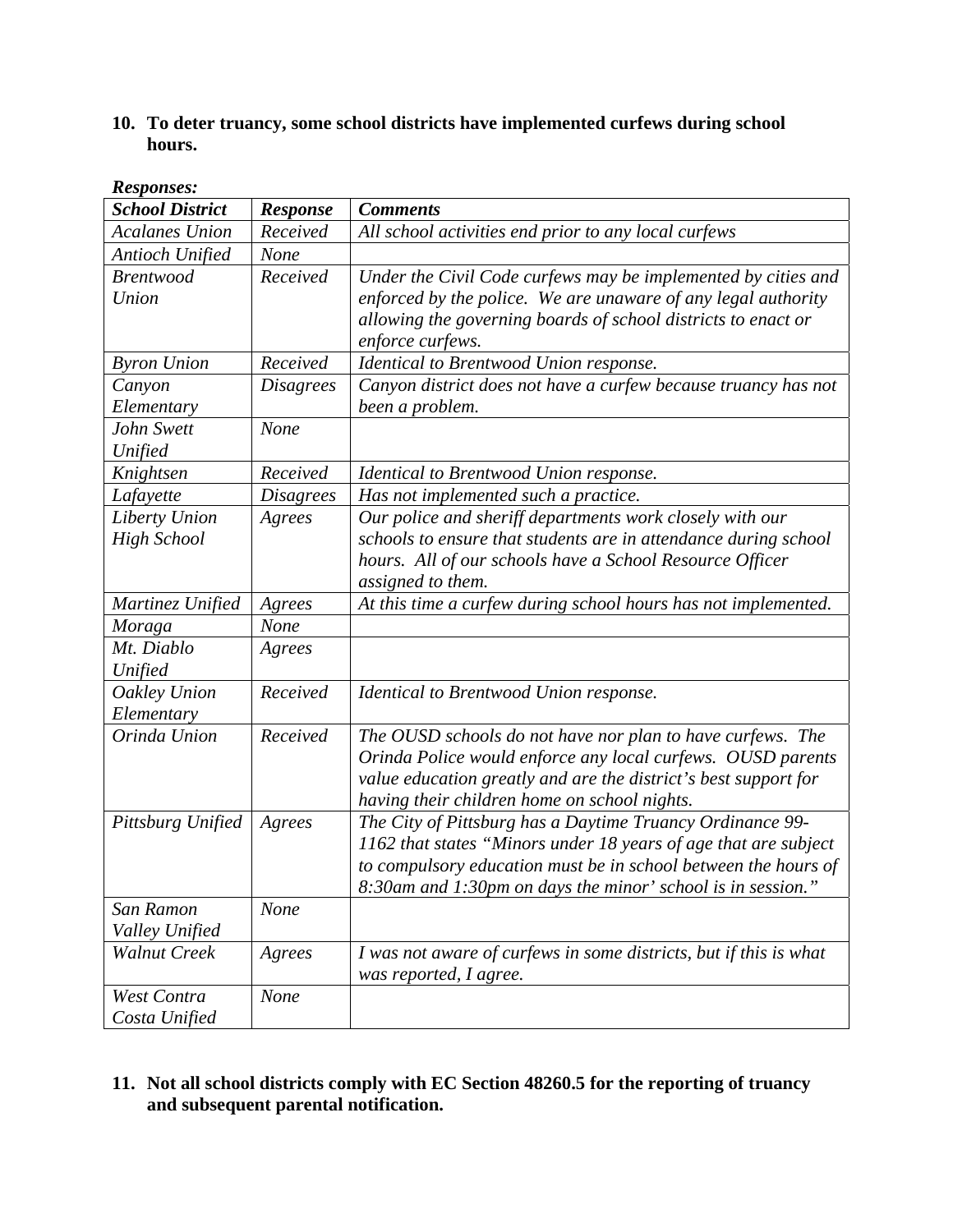## **10. To deter truancy, some school districts have implemented curfews during school hours.**

| Awsponses.<br><b>School District</b> | <b>Response</b>  | <b>Comments</b>                                                   |
|--------------------------------------|------------------|-------------------------------------------------------------------|
| <b>Acalanes Union</b>                | Received         | All school activities end prior to any local curfews              |
| Antioch Unified                      | None             |                                                                   |
| <b>Brentwood</b>                     | Received         | Under the Civil Code curfews may be implemented by cities and     |
| Union                                |                  | enforced by the police. We are unaware of any legal authority     |
|                                      |                  | allowing the governing boards of school districts to enact or     |
|                                      |                  | enforce curfews.                                                  |
| <b>Byron Union</b>                   | Received         | Identical to Brentwood Union response.                            |
| Canyon                               | <b>Disagrees</b> | Canyon district does not have a curfew because truancy has not    |
| Elementary                           |                  | been a problem.                                                   |
| John Swett                           | <b>None</b>      |                                                                   |
| Unified                              |                  |                                                                   |
| Knightsen                            | Received         | Identical to Brentwood Union response.                            |
| Lafayette                            | <b>Disagrees</b> | Has not implemented such a practice.                              |
| Liberty Union                        | Agrees           | Our police and sheriff departments work closely with our          |
| <b>High School</b>                   |                  | schools to ensure that students are in attendance during school   |
|                                      |                  | hours. All of our schools have a School Resource Officer          |
|                                      |                  | assigned to them.                                                 |
| Martinez Unified                     | Agrees           | At this time a curfew during school hours has not implemented.    |
| Moraga                               | None             |                                                                   |
| Mt. Diablo                           | Agrees           |                                                                   |
| Unified                              |                  |                                                                   |
| <b>Oakley Union</b>                  | Received         | Identical to Brentwood Union response.                            |
| Elementary                           |                  |                                                                   |
| Orinda Union                         | Received         | The OUSD schools do not have nor plan to have curfews. The        |
|                                      |                  | Orinda Police would enforce any local curfews. OUSD parents       |
|                                      |                  | value education greatly and are the district's best support for   |
|                                      |                  | having their children home on school nights.                      |
| Pittsburg Unified                    | Agrees           | The City of Pittsburg has a Daytime Truancy Ordinance 99-         |
|                                      |                  | 1162 that states "Minors under 18 years of age that are subject   |
|                                      |                  | to compulsory education must be in school between the hours of    |
|                                      |                  | 8:30am and 1:30pm on days the minor' school is in session."       |
| San Ramon                            | <b>None</b>      |                                                                   |
| Valley Unified                       |                  |                                                                   |
| <b>Walnut Creek</b>                  | Agrees           | I was not aware of curfews in some districts, but if this is what |
|                                      |                  | was reported, I agree.                                            |
| West Contra                          | <b>None</b>      |                                                                   |
| Costa Unified                        |                  |                                                                   |

#### *Responses:*

## **11. Not all school districts comply with EC Section 48260.5 for the reporting of truancy and subsequent parental notification.**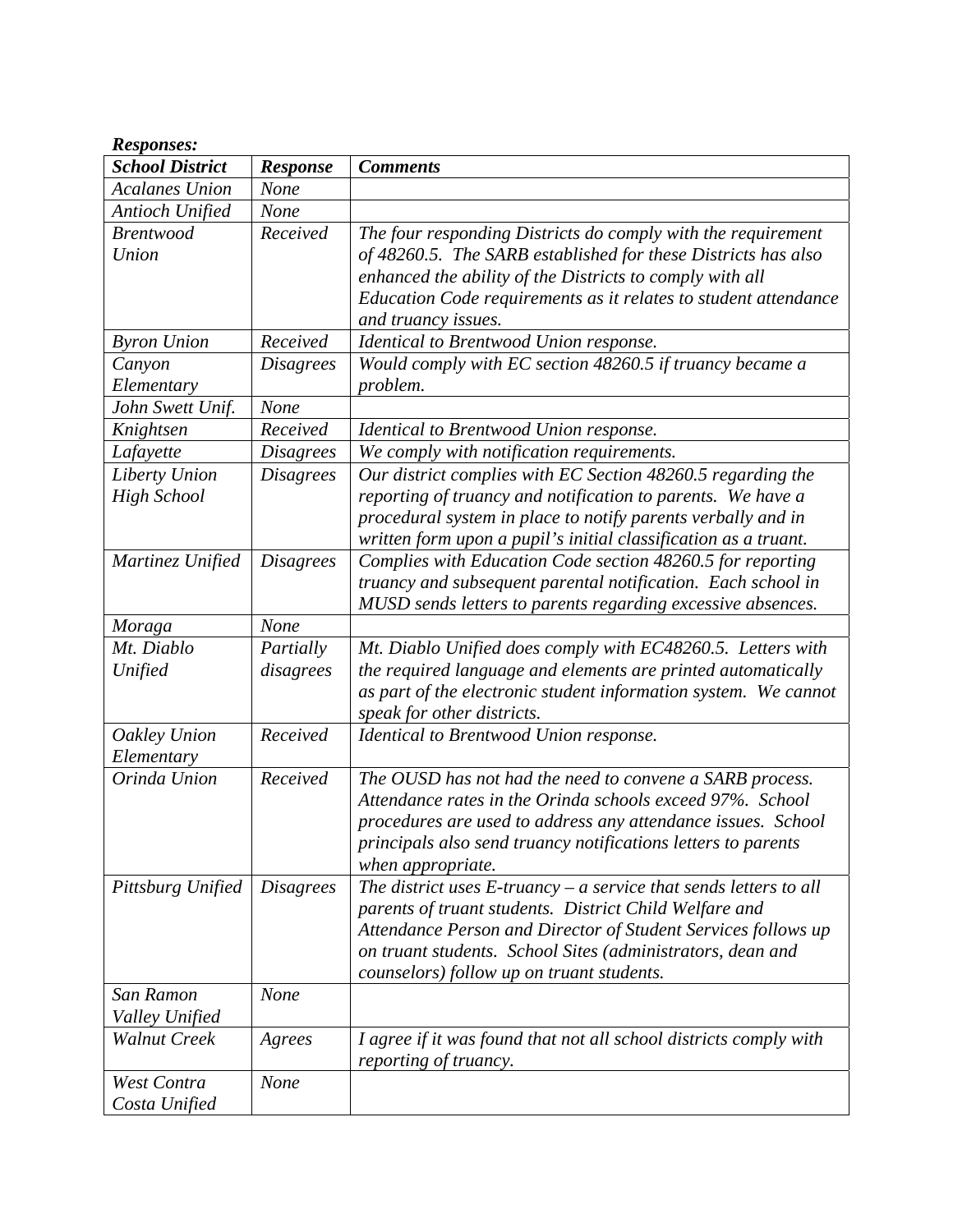| <b>School District</b><br><b>Comments</b><br><b>Response</b><br><b>Acalanes Union</b><br>None<br><b>Antioch Unified</b><br>None<br>Received<br><b>Brentwood</b><br>The four responding Districts do comply with the requirement<br>Union<br>of 48260.5. The SARB established for these Districts has also<br>enhanced the ability of the Districts to comply with all<br>Education Code requirements as it relates to student attendance<br>and truancy issues.<br>Received<br><b>Byron Union</b><br>Identical to Brentwood Union response.<br>Would comply with EC section 48260.5 if truancy became a<br>Canyon<br><b>Disagrees</b><br>problem.<br>Elementary<br>None<br>John Swett Unif.<br>Received<br>Knightsen<br>Identical to Brentwood Union response.<br><b>Disagrees</b><br>We comply with notification requirements.<br>Lafayette<br>Our district complies with EC Section 48260.5 regarding the<br>Liberty Union<br><b>Disagrees</b><br>reporting of truancy and notification to parents. We have a<br><b>High School</b><br>procedural system in place to notify parents verbally and in<br>written form upon a pupil's initial classification as a truant.<br>Complies with Education Code section 48260.5 for reporting<br>Martinez Unified<br><b>Disagrees</b><br>truancy and subsequent parental notification. Each school in<br>MUSD sends letters to parents regarding excessive absences.<br>None<br>Moraga<br>Mt. Diablo<br>Partially<br>Mt. Diablo Unified does comply with EC48260.5. Letters with<br>the required language and elements are printed automatically<br>Unified<br>disagrees<br>as part of the electronic student information system. We cannot<br>speak for other districts.<br>Received<br>Oakley Union<br>Identical to Brentwood Union response.<br>Elementary<br>Received<br>Orinda Union<br>The OUSD has not had the need to convene a SARB process.<br>Attendance rates in the Orinda schools exceed 97%. School<br>procedures are used to address any attendance issues. School<br>principals also send truancy notifications letters to parents<br>when appropriate.<br>The district uses $E$ -truancy – a service that sends letters to all<br>Pittsburg Unified<br><i>Disagrees</i><br>parents of truant students. District Child Welfare and | <b>Responses:</b> |  |  |  |  |
|----------------------------------------------------------------------------------------------------------------------------------------------------------------------------------------------------------------------------------------------------------------------------------------------------------------------------------------------------------------------------------------------------------------------------------------------------------------------------------------------------------------------------------------------------------------------------------------------------------------------------------------------------------------------------------------------------------------------------------------------------------------------------------------------------------------------------------------------------------------------------------------------------------------------------------------------------------------------------------------------------------------------------------------------------------------------------------------------------------------------------------------------------------------------------------------------------------------------------------------------------------------------------------------------------------------------------------------------------------------------------------------------------------------------------------------------------------------------------------------------------------------------------------------------------------------------------------------------------------------------------------------------------------------------------------------------------------------------------------------------------------------------------------------------------------------------------------------------------------------------------------------------------------------------------------------------------------------------------------------------------------------------------------------------------------------------------------------------------------------------------------------------------------------------------------------------------------------------------------------------------------------------------------------------|-------------------|--|--|--|--|
|                                                                                                                                                                                                                                                                                                                                                                                                                                                                                                                                                                                                                                                                                                                                                                                                                                                                                                                                                                                                                                                                                                                                                                                                                                                                                                                                                                                                                                                                                                                                                                                                                                                                                                                                                                                                                                                                                                                                                                                                                                                                                                                                                                                                                                                                                              |                   |  |  |  |  |
|                                                                                                                                                                                                                                                                                                                                                                                                                                                                                                                                                                                                                                                                                                                                                                                                                                                                                                                                                                                                                                                                                                                                                                                                                                                                                                                                                                                                                                                                                                                                                                                                                                                                                                                                                                                                                                                                                                                                                                                                                                                                                                                                                                                                                                                                                              |                   |  |  |  |  |
|                                                                                                                                                                                                                                                                                                                                                                                                                                                                                                                                                                                                                                                                                                                                                                                                                                                                                                                                                                                                                                                                                                                                                                                                                                                                                                                                                                                                                                                                                                                                                                                                                                                                                                                                                                                                                                                                                                                                                                                                                                                                                                                                                                                                                                                                                              |                   |  |  |  |  |
|                                                                                                                                                                                                                                                                                                                                                                                                                                                                                                                                                                                                                                                                                                                                                                                                                                                                                                                                                                                                                                                                                                                                                                                                                                                                                                                                                                                                                                                                                                                                                                                                                                                                                                                                                                                                                                                                                                                                                                                                                                                                                                                                                                                                                                                                                              |                   |  |  |  |  |
|                                                                                                                                                                                                                                                                                                                                                                                                                                                                                                                                                                                                                                                                                                                                                                                                                                                                                                                                                                                                                                                                                                                                                                                                                                                                                                                                                                                                                                                                                                                                                                                                                                                                                                                                                                                                                                                                                                                                                                                                                                                                                                                                                                                                                                                                                              |                   |  |  |  |  |
|                                                                                                                                                                                                                                                                                                                                                                                                                                                                                                                                                                                                                                                                                                                                                                                                                                                                                                                                                                                                                                                                                                                                                                                                                                                                                                                                                                                                                                                                                                                                                                                                                                                                                                                                                                                                                                                                                                                                                                                                                                                                                                                                                                                                                                                                                              |                   |  |  |  |  |
|                                                                                                                                                                                                                                                                                                                                                                                                                                                                                                                                                                                                                                                                                                                                                                                                                                                                                                                                                                                                                                                                                                                                                                                                                                                                                                                                                                                                                                                                                                                                                                                                                                                                                                                                                                                                                                                                                                                                                                                                                                                                                                                                                                                                                                                                                              |                   |  |  |  |  |
|                                                                                                                                                                                                                                                                                                                                                                                                                                                                                                                                                                                                                                                                                                                                                                                                                                                                                                                                                                                                                                                                                                                                                                                                                                                                                                                                                                                                                                                                                                                                                                                                                                                                                                                                                                                                                                                                                                                                                                                                                                                                                                                                                                                                                                                                                              |                   |  |  |  |  |
|                                                                                                                                                                                                                                                                                                                                                                                                                                                                                                                                                                                                                                                                                                                                                                                                                                                                                                                                                                                                                                                                                                                                                                                                                                                                                                                                                                                                                                                                                                                                                                                                                                                                                                                                                                                                                                                                                                                                                                                                                                                                                                                                                                                                                                                                                              |                   |  |  |  |  |
|                                                                                                                                                                                                                                                                                                                                                                                                                                                                                                                                                                                                                                                                                                                                                                                                                                                                                                                                                                                                                                                                                                                                                                                                                                                                                                                                                                                                                                                                                                                                                                                                                                                                                                                                                                                                                                                                                                                                                                                                                                                                                                                                                                                                                                                                                              |                   |  |  |  |  |
|                                                                                                                                                                                                                                                                                                                                                                                                                                                                                                                                                                                                                                                                                                                                                                                                                                                                                                                                                                                                                                                                                                                                                                                                                                                                                                                                                                                                                                                                                                                                                                                                                                                                                                                                                                                                                                                                                                                                                                                                                                                                                                                                                                                                                                                                                              |                   |  |  |  |  |
|                                                                                                                                                                                                                                                                                                                                                                                                                                                                                                                                                                                                                                                                                                                                                                                                                                                                                                                                                                                                                                                                                                                                                                                                                                                                                                                                                                                                                                                                                                                                                                                                                                                                                                                                                                                                                                                                                                                                                                                                                                                                                                                                                                                                                                                                                              |                   |  |  |  |  |
|                                                                                                                                                                                                                                                                                                                                                                                                                                                                                                                                                                                                                                                                                                                                                                                                                                                                                                                                                                                                                                                                                                                                                                                                                                                                                                                                                                                                                                                                                                                                                                                                                                                                                                                                                                                                                                                                                                                                                                                                                                                                                                                                                                                                                                                                                              |                   |  |  |  |  |
|                                                                                                                                                                                                                                                                                                                                                                                                                                                                                                                                                                                                                                                                                                                                                                                                                                                                                                                                                                                                                                                                                                                                                                                                                                                                                                                                                                                                                                                                                                                                                                                                                                                                                                                                                                                                                                                                                                                                                                                                                                                                                                                                                                                                                                                                                              |                   |  |  |  |  |
|                                                                                                                                                                                                                                                                                                                                                                                                                                                                                                                                                                                                                                                                                                                                                                                                                                                                                                                                                                                                                                                                                                                                                                                                                                                                                                                                                                                                                                                                                                                                                                                                                                                                                                                                                                                                                                                                                                                                                                                                                                                                                                                                                                                                                                                                                              |                   |  |  |  |  |
|                                                                                                                                                                                                                                                                                                                                                                                                                                                                                                                                                                                                                                                                                                                                                                                                                                                                                                                                                                                                                                                                                                                                                                                                                                                                                                                                                                                                                                                                                                                                                                                                                                                                                                                                                                                                                                                                                                                                                                                                                                                                                                                                                                                                                                                                                              |                   |  |  |  |  |
|                                                                                                                                                                                                                                                                                                                                                                                                                                                                                                                                                                                                                                                                                                                                                                                                                                                                                                                                                                                                                                                                                                                                                                                                                                                                                                                                                                                                                                                                                                                                                                                                                                                                                                                                                                                                                                                                                                                                                                                                                                                                                                                                                                                                                                                                                              |                   |  |  |  |  |
|                                                                                                                                                                                                                                                                                                                                                                                                                                                                                                                                                                                                                                                                                                                                                                                                                                                                                                                                                                                                                                                                                                                                                                                                                                                                                                                                                                                                                                                                                                                                                                                                                                                                                                                                                                                                                                                                                                                                                                                                                                                                                                                                                                                                                                                                                              |                   |  |  |  |  |
|                                                                                                                                                                                                                                                                                                                                                                                                                                                                                                                                                                                                                                                                                                                                                                                                                                                                                                                                                                                                                                                                                                                                                                                                                                                                                                                                                                                                                                                                                                                                                                                                                                                                                                                                                                                                                                                                                                                                                                                                                                                                                                                                                                                                                                                                                              |                   |  |  |  |  |
|                                                                                                                                                                                                                                                                                                                                                                                                                                                                                                                                                                                                                                                                                                                                                                                                                                                                                                                                                                                                                                                                                                                                                                                                                                                                                                                                                                                                                                                                                                                                                                                                                                                                                                                                                                                                                                                                                                                                                                                                                                                                                                                                                                                                                                                                                              |                   |  |  |  |  |
|                                                                                                                                                                                                                                                                                                                                                                                                                                                                                                                                                                                                                                                                                                                                                                                                                                                                                                                                                                                                                                                                                                                                                                                                                                                                                                                                                                                                                                                                                                                                                                                                                                                                                                                                                                                                                                                                                                                                                                                                                                                                                                                                                                                                                                                                                              |                   |  |  |  |  |
|                                                                                                                                                                                                                                                                                                                                                                                                                                                                                                                                                                                                                                                                                                                                                                                                                                                                                                                                                                                                                                                                                                                                                                                                                                                                                                                                                                                                                                                                                                                                                                                                                                                                                                                                                                                                                                                                                                                                                                                                                                                                                                                                                                                                                                                                                              |                   |  |  |  |  |
|                                                                                                                                                                                                                                                                                                                                                                                                                                                                                                                                                                                                                                                                                                                                                                                                                                                                                                                                                                                                                                                                                                                                                                                                                                                                                                                                                                                                                                                                                                                                                                                                                                                                                                                                                                                                                                                                                                                                                                                                                                                                                                                                                                                                                                                                                              |                   |  |  |  |  |
|                                                                                                                                                                                                                                                                                                                                                                                                                                                                                                                                                                                                                                                                                                                                                                                                                                                                                                                                                                                                                                                                                                                                                                                                                                                                                                                                                                                                                                                                                                                                                                                                                                                                                                                                                                                                                                                                                                                                                                                                                                                                                                                                                                                                                                                                                              |                   |  |  |  |  |
|                                                                                                                                                                                                                                                                                                                                                                                                                                                                                                                                                                                                                                                                                                                                                                                                                                                                                                                                                                                                                                                                                                                                                                                                                                                                                                                                                                                                                                                                                                                                                                                                                                                                                                                                                                                                                                                                                                                                                                                                                                                                                                                                                                                                                                                                                              |                   |  |  |  |  |
|                                                                                                                                                                                                                                                                                                                                                                                                                                                                                                                                                                                                                                                                                                                                                                                                                                                                                                                                                                                                                                                                                                                                                                                                                                                                                                                                                                                                                                                                                                                                                                                                                                                                                                                                                                                                                                                                                                                                                                                                                                                                                                                                                                                                                                                                                              |                   |  |  |  |  |
|                                                                                                                                                                                                                                                                                                                                                                                                                                                                                                                                                                                                                                                                                                                                                                                                                                                                                                                                                                                                                                                                                                                                                                                                                                                                                                                                                                                                                                                                                                                                                                                                                                                                                                                                                                                                                                                                                                                                                                                                                                                                                                                                                                                                                                                                                              |                   |  |  |  |  |
|                                                                                                                                                                                                                                                                                                                                                                                                                                                                                                                                                                                                                                                                                                                                                                                                                                                                                                                                                                                                                                                                                                                                                                                                                                                                                                                                                                                                                                                                                                                                                                                                                                                                                                                                                                                                                                                                                                                                                                                                                                                                                                                                                                                                                                                                                              |                   |  |  |  |  |
|                                                                                                                                                                                                                                                                                                                                                                                                                                                                                                                                                                                                                                                                                                                                                                                                                                                                                                                                                                                                                                                                                                                                                                                                                                                                                                                                                                                                                                                                                                                                                                                                                                                                                                                                                                                                                                                                                                                                                                                                                                                                                                                                                                                                                                                                                              |                   |  |  |  |  |
|                                                                                                                                                                                                                                                                                                                                                                                                                                                                                                                                                                                                                                                                                                                                                                                                                                                                                                                                                                                                                                                                                                                                                                                                                                                                                                                                                                                                                                                                                                                                                                                                                                                                                                                                                                                                                                                                                                                                                                                                                                                                                                                                                                                                                                                                                              |                   |  |  |  |  |
|                                                                                                                                                                                                                                                                                                                                                                                                                                                                                                                                                                                                                                                                                                                                                                                                                                                                                                                                                                                                                                                                                                                                                                                                                                                                                                                                                                                                                                                                                                                                                                                                                                                                                                                                                                                                                                                                                                                                                                                                                                                                                                                                                                                                                                                                                              |                   |  |  |  |  |
|                                                                                                                                                                                                                                                                                                                                                                                                                                                                                                                                                                                                                                                                                                                                                                                                                                                                                                                                                                                                                                                                                                                                                                                                                                                                                                                                                                                                                                                                                                                                                                                                                                                                                                                                                                                                                                                                                                                                                                                                                                                                                                                                                                                                                                                                                              |                   |  |  |  |  |
|                                                                                                                                                                                                                                                                                                                                                                                                                                                                                                                                                                                                                                                                                                                                                                                                                                                                                                                                                                                                                                                                                                                                                                                                                                                                                                                                                                                                                                                                                                                                                                                                                                                                                                                                                                                                                                                                                                                                                                                                                                                                                                                                                                                                                                                                                              |                   |  |  |  |  |
|                                                                                                                                                                                                                                                                                                                                                                                                                                                                                                                                                                                                                                                                                                                                                                                                                                                                                                                                                                                                                                                                                                                                                                                                                                                                                                                                                                                                                                                                                                                                                                                                                                                                                                                                                                                                                                                                                                                                                                                                                                                                                                                                                                                                                                                                                              |                   |  |  |  |  |
| Attendance Person and Director of Student Services follows up                                                                                                                                                                                                                                                                                                                                                                                                                                                                                                                                                                                                                                                                                                                                                                                                                                                                                                                                                                                                                                                                                                                                                                                                                                                                                                                                                                                                                                                                                                                                                                                                                                                                                                                                                                                                                                                                                                                                                                                                                                                                                                                                                                                                                                |                   |  |  |  |  |
| on truant students. School Sites (administrators, dean and                                                                                                                                                                                                                                                                                                                                                                                                                                                                                                                                                                                                                                                                                                                                                                                                                                                                                                                                                                                                                                                                                                                                                                                                                                                                                                                                                                                                                                                                                                                                                                                                                                                                                                                                                                                                                                                                                                                                                                                                                                                                                                                                                                                                                                   |                   |  |  |  |  |
| counselors) follow up on truant students.                                                                                                                                                                                                                                                                                                                                                                                                                                                                                                                                                                                                                                                                                                                                                                                                                                                                                                                                                                                                                                                                                                                                                                                                                                                                                                                                                                                                                                                                                                                                                                                                                                                                                                                                                                                                                                                                                                                                                                                                                                                                                                                                                                                                                                                    |                   |  |  |  |  |
| San Ramon<br>None                                                                                                                                                                                                                                                                                                                                                                                                                                                                                                                                                                                                                                                                                                                                                                                                                                                                                                                                                                                                                                                                                                                                                                                                                                                                                                                                                                                                                                                                                                                                                                                                                                                                                                                                                                                                                                                                                                                                                                                                                                                                                                                                                                                                                                                                            |                   |  |  |  |  |
| Valley Unified                                                                                                                                                                                                                                                                                                                                                                                                                                                                                                                                                                                                                                                                                                                                                                                                                                                                                                                                                                                                                                                                                                                                                                                                                                                                                                                                                                                                                                                                                                                                                                                                                                                                                                                                                                                                                                                                                                                                                                                                                                                                                                                                                                                                                                                                               |                   |  |  |  |  |
| <b>Walnut Creek</b><br>I agree if it was found that not all school districts comply with<br>Agrees                                                                                                                                                                                                                                                                                                                                                                                                                                                                                                                                                                                                                                                                                                                                                                                                                                                                                                                                                                                                                                                                                                                                                                                                                                                                                                                                                                                                                                                                                                                                                                                                                                                                                                                                                                                                                                                                                                                                                                                                                                                                                                                                                                                           |                   |  |  |  |  |
| reporting of truancy.                                                                                                                                                                                                                                                                                                                                                                                                                                                                                                                                                                                                                                                                                                                                                                                                                                                                                                                                                                                                                                                                                                                                                                                                                                                                                                                                                                                                                                                                                                                                                                                                                                                                                                                                                                                                                                                                                                                                                                                                                                                                                                                                                                                                                                                                        |                   |  |  |  |  |
| West Contra<br>None                                                                                                                                                                                                                                                                                                                                                                                                                                                                                                                                                                                                                                                                                                                                                                                                                                                                                                                                                                                                                                                                                                                                                                                                                                                                                                                                                                                                                                                                                                                                                                                                                                                                                                                                                                                                                                                                                                                                                                                                                                                                                                                                                                                                                                                                          |                   |  |  |  |  |
| Costa Unified                                                                                                                                                                                                                                                                                                                                                                                                                                                                                                                                                                                                                                                                                                                                                                                                                                                                                                                                                                                                                                                                                                                                                                                                                                                                                                                                                                                                                                                                                                                                                                                                                                                                                                                                                                                                                                                                                                                                                                                                                                                                                                                                                                                                                                                                                |                   |  |  |  |  |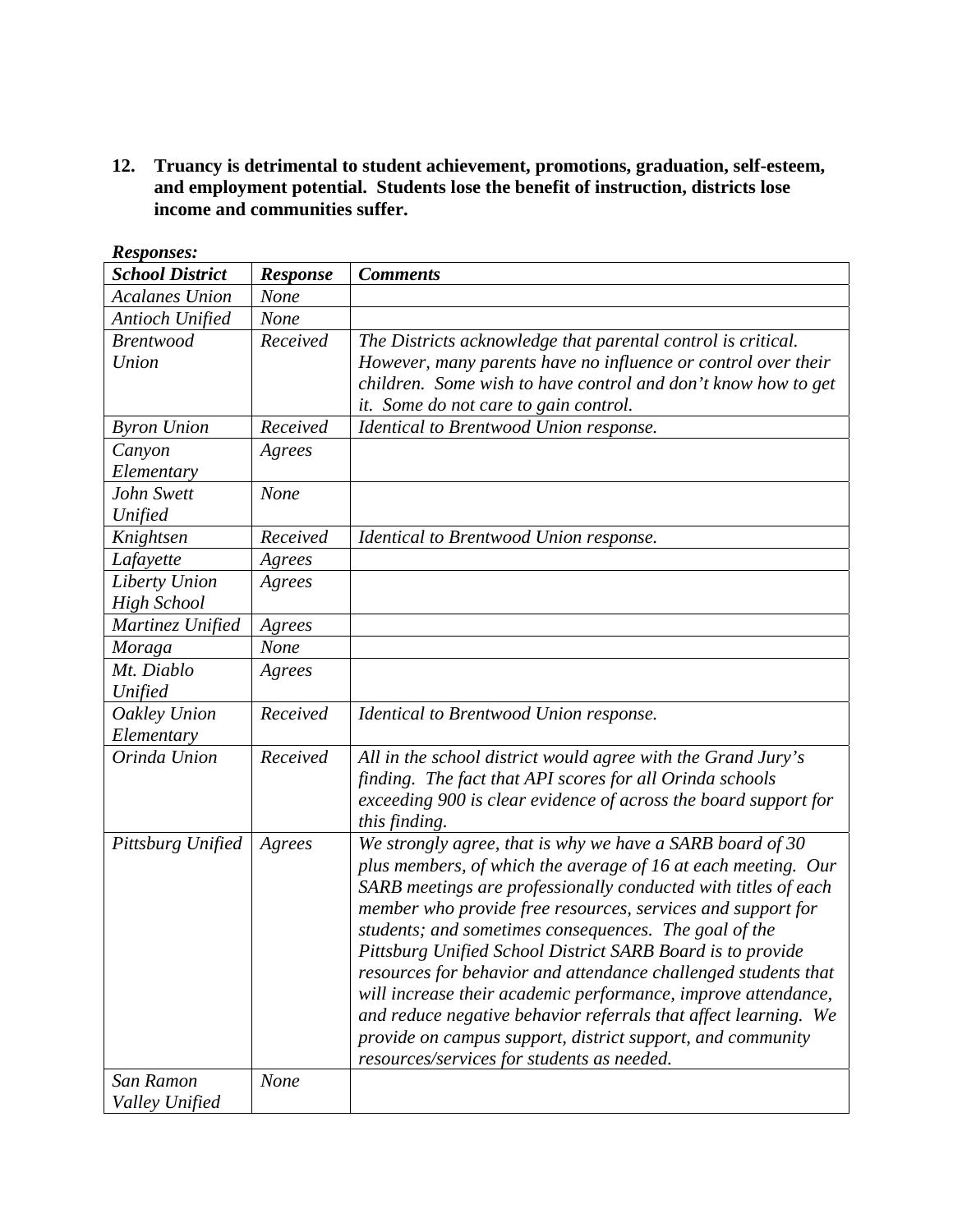**12. Truancy is detrimental to student achievement, promotions, graduation, self-esteem, and employment potential. Students lose the benefit of instruction, districts lose income and communities suffer.** 

| <b>School District</b> | <b>Response</b> | <b>Comments</b>                                                 |
|------------------------|-----------------|-----------------------------------------------------------------|
| <b>Acalanes Union</b>  | None            |                                                                 |
| <b>Antioch Unified</b> | <b>None</b>     |                                                                 |
| <b>Brentwood</b>       | Received        | The Districts acknowledge that parental control is critical.    |
| Union                  |                 | However, many parents have no influence or control over their   |
|                        |                 | children. Some wish to have control and don't know how to get   |
|                        |                 | it. Some do not care to gain control.                           |
| <b>Byron Union</b>     | Received        | Identical to Brentwood Union response.                          |
| Canyon                 | Agrees          |                                                                 |
| Elementary             |                 |                                                                 |
| John Swett             | None            |                                                                 |
| Unified                |                 |                                                                 |
| Knightsen              | Received        | Identical to Brentwood Union response.                          |
| Lafayette              | Agrees          |                                                                 |
| Liberty Union          | Agrees          |                                                                 |
| <b>High School</b>     |                 |                                                                 |
| Martinez Unified       | Agrees          |                                                                 |
| Moraga                 | <b>None</b>     |                                                                 |
| Mt. Diablo             | Agrees          |                                                                 |
| Unified                |                 |                                                                 |
| Oakley Union           | Received        | Identical to Brentwood Union response.                          |
| Elementary             |                 |                                                                 |
| Orinda Union           | Received        | All in the school district would agree with the Grand Jury's    |
|                        |                 | finding. The fact that API scores for all Orinda schools        |
|                        |                 | exceeding 900 is clear evidence of across the board support for |
|                        |                 | this finding.                                                   |
| Pittsburg Unified      | Agrees          | We strongly agree, that is why we have a SARB board of 30       |
|                        |                 | plus members, of which the average of 16 at each meeting. Our   |
|                        |                 | SARB meetings are professionally conducted with titles of each  |
|                        |                 | member who provide free resources, services and support for     |
|                        |                 | students; and sometimes consequences. The goal of the           |
|                        |                 | Pittsburg Unified School District SARB Board is to provide      |
|                        |                 | resources for behavior and attendance challenged students that  |
|                        |                 | will increase their academic performance, improve attendance,   |
|                        |                 | and reduce negative behavior referrals that affect learning. We |
|                        |                 | provide on campus support, district support, and community      |
|                        |                 | resources/services for students as needed.                      |
| San Ramon              | None            |                                                                 |
| Valley Unified         |                 |                                                                 |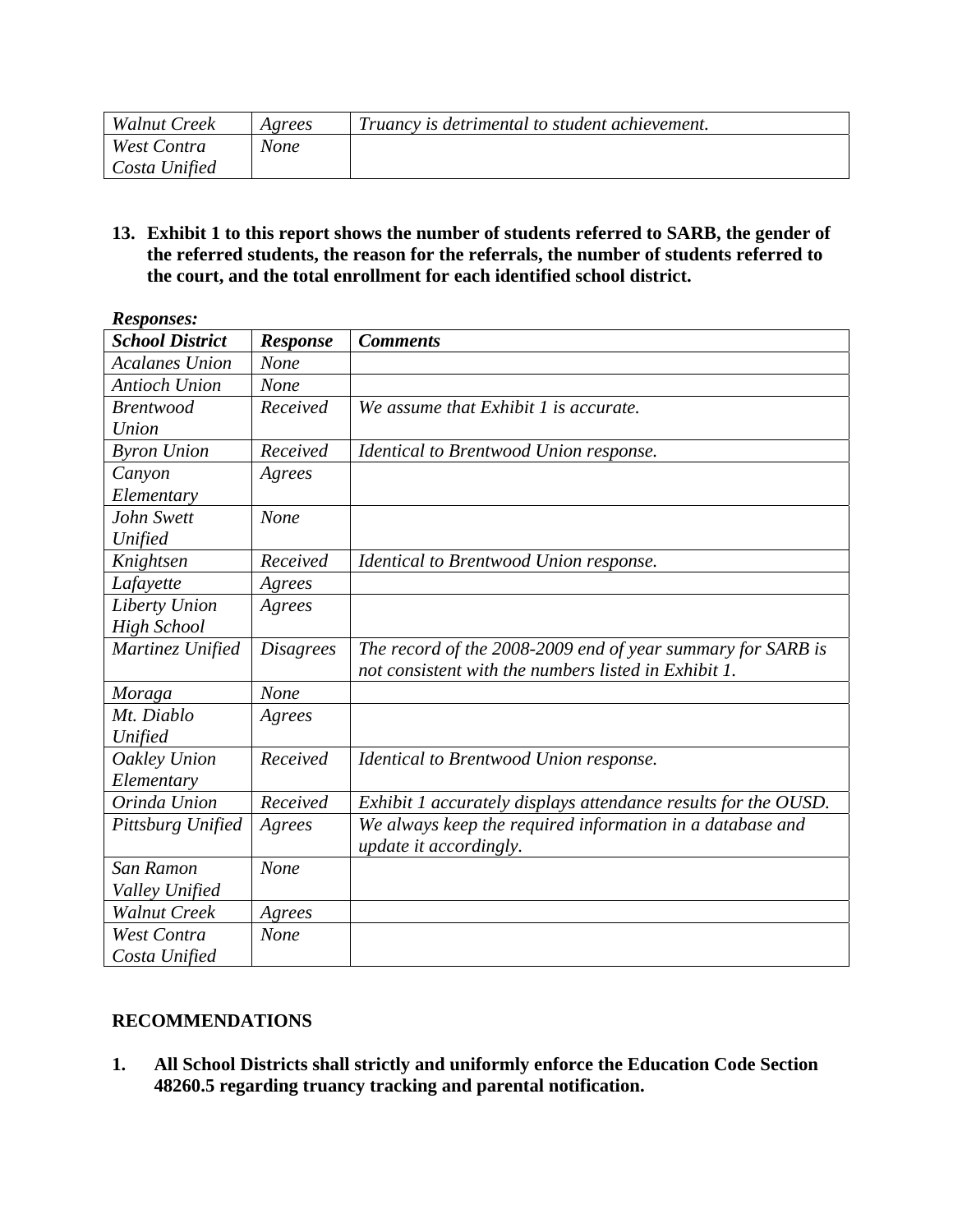| <b>Walnut Creek</b> | Agrees | Truancy is detrimental to student achievement. |
|---------------------|--------|------------------------------------------------|
| West Contra         | None   |                                                |
| Costa Unified       |        |                                                |

**13. Exhibit 1 to this report shows the number of students referred to SARB, the gender of the referred students, the reason for the referrals, the number of students referred to the court, and the total enrollment for each identified school district.** 

| <b>Responses:</b>      |                  |                                                                |  |  |
|------------------------|------------------|----------------------------------------------------------------|--|--|
| <b>School District</b> | <b>Response</b>  | <b>Comments</b>                                                |  |  |
| <b>Acalanes Union</b>  | None             |                                                                |  |  |
| <b>Antioch Union</b>   | None             |                                                                |  |  |
| <b>Brentwood</b>       | Received         | We assume that Exhibit 1 is accurate.                          |  |  |
| Union                  |                  |                                                                |  |  |
| <b>Byron Union</b>     | Received         | Identical to Brentwood Union response.                         |  |  |
| Canyon                 | Agrees           |                                                                |  |  |
| Elementary             |                  |                                                                |  |  |
| John Swett             | None             |                                                                |  |  |
| Unified                |                  |                                                                |  |  |
| Knightsen              | Received         | Identical to Brentwood Union response.                         |  |  |
| Lafayette              | Agrees           |                                                                |  |  |
| Liberty Union          | Agrees           |                                                                |  |  |
| <b>High School</b>     |                  |                                                                |  |  |
| Martinez Unified       | <i>Disagrees</i> | The record of the 2008-2009 end of year summary for SARB is    |  |  |
|                        |                  | not consistent with the numbers listed in Exhibit 1.           |  |  |
| Moraga                 | None             |                                                                |  |  |
| Mt. Diablo             | Agrees           |                                                                |  |  |
| Unified                |                  |                                                                |  |  |
| Oakley Union           | Received         | Identical to Brentwood Union response.                         |  |  |
| Elementary             |                  |                                                                |  |  |
| Orinda Union           | Received         | Exhibit 1 accurately displays attendance results for the OUSD. |  |  |
| Pittsburg Unified      | Agrees           | We always keep the required information in a database and      |  |  |
|                        |                  | update it accordingly.                                         |  |  |
| San Ramon              | None             |                                                                |  |  |
| Valley Unified         |                  |                                                                |  |  |
| <b>Walnut Creek</b>    | Agrees           |                                                                |  |  |
| <b>West Contra</b>     | None             |                                                                |  |  |
| Costa Unified          |                  |                                                                |  |  |

## **RECOMMENDATIONS**

**1. All School Districts shall strictly and uniformly enforce the Education Code Section 48260.5 regarding truancy tracking and parental notification.**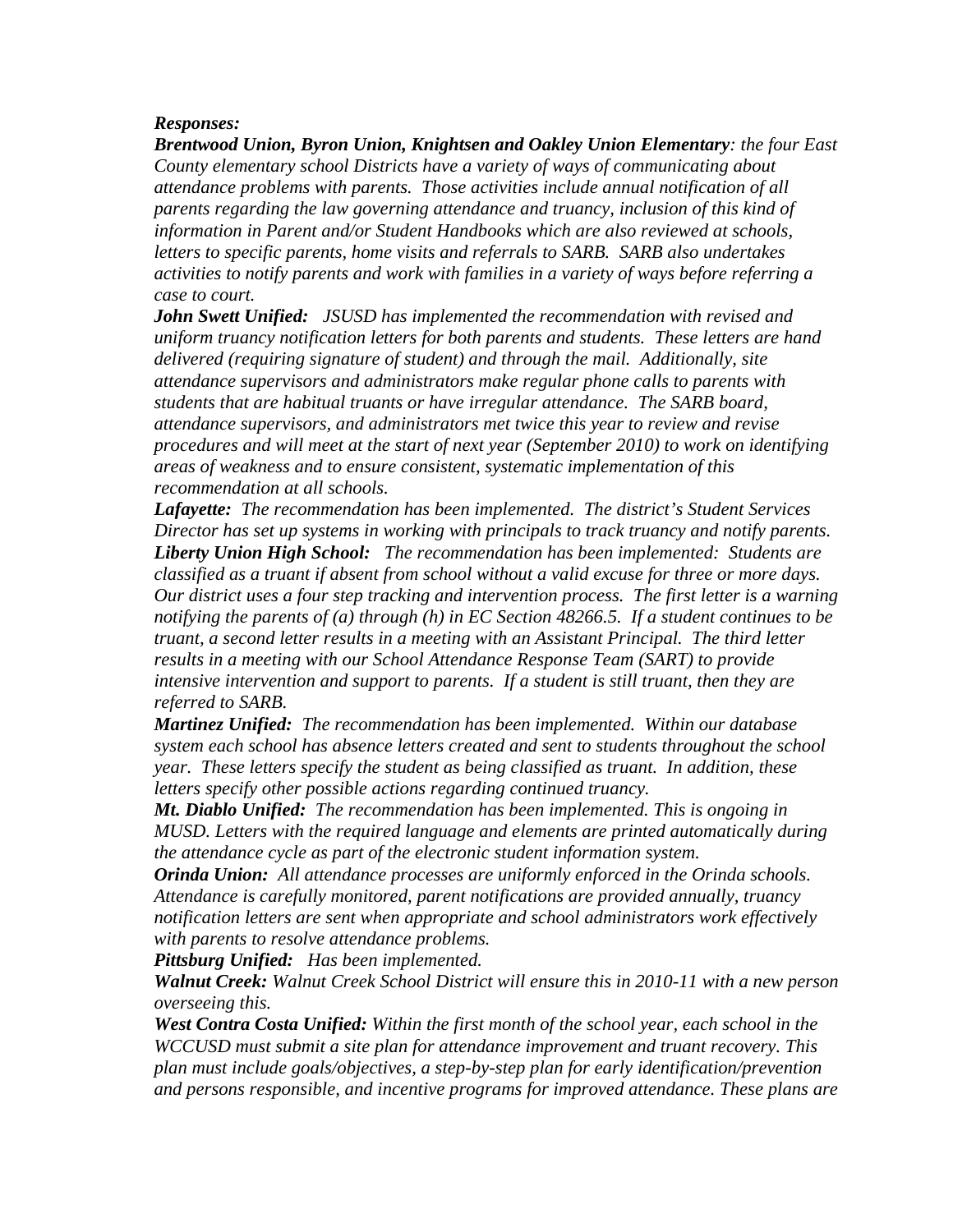### *Responses:*

*Brentwood Union, Byron Union, Knightsen and Oakley Union Elementary: the four East County elementary school Districts have a variety of ways of communicating about attendance problems with parents. Those activities include annual notification of all parents regarding the law governing attendance and truancy, inclusion of this kind of information in Parent and/or Student Handbooks which are also reviewed at schools, letters to specific parents, home visits and referrals to SARB. SARB also undertakes activities to notify parents and work with families in a variety of ways before referring a case to court.* 

*John Swett Unified: JSUSD has implemented the recommendation with revised and uniform truancy notification letters for both parents and students. These letters are hand delivered (requiring signature of student) and through the mail. Additionally, site attendance supervisors and administrators make regular phone calls to parents with students that are habitual truants or have irregular attendance. The SARB board, attendance supervisors, and administrators met twice this year to review and revise procedures and will meet at the start of next year (September 2010) to work on identifying areas of weakness and to ensure consistent, systematic implementation of this recommendation at all schools.* 

*Lafayette: The recommendation has been implemented. The district's Student Services Director has set up systems in working with principals to track truancy and notify parents. Liberty Union High School: The recommendation has been implemented: Students are classified as a truant if absent from school without a valid excuse for three or more days. Our district uses a four step tracking and intervention process. The first letter is a warning notifying the parents of (a) through (h) in EC Section 48266.5. If a student continues to be truant, a second letter results in a meeting with an Assistant Principal. The third letter results in a meeting with our School Attendance Response Team (SART) to provide intensive intervention and support to parents. If a student is still truant, then they are referred to SARB.* 

*Martinez Unified: The recommendation has been implemented. Within our database system each school has absence letters created and sent to students throughout the school year. These letters specify the student as being classified as truant. In addition, these letters specify other possible actions regarding continued truancy.* 

*Mt. Diablo Unified: The recommendation has been implemented. This is ongoing in MUSD. Letters with the required language and elements are printed automatically during the attendance cycle as part of the electronic student information system.* 

*Orinda Union: All attendance processes are uniformly enforced in the Orinda schools. Attendance is carefully monitored, parent notifications are provided annually, truancy notification letters are sent when appropriate and school administrators work effectively with parents to resolve attendance problems.* 

*Pittsburg Unified: Has been implemented.* 

*Walnut Creek: Walnut Creek School District will ensure this in 2010-11 with a new person overseeing this.*

*West Contra Costa Unified: Within the first month of the school year, each school in the WCCUSD must submit a site plan for attendance improvement and truant recovery. This plan must include goals/objectives, a step-by-step plan for early identification/prevention and persons responsible, and incentive programs for improved attendance. These plans are*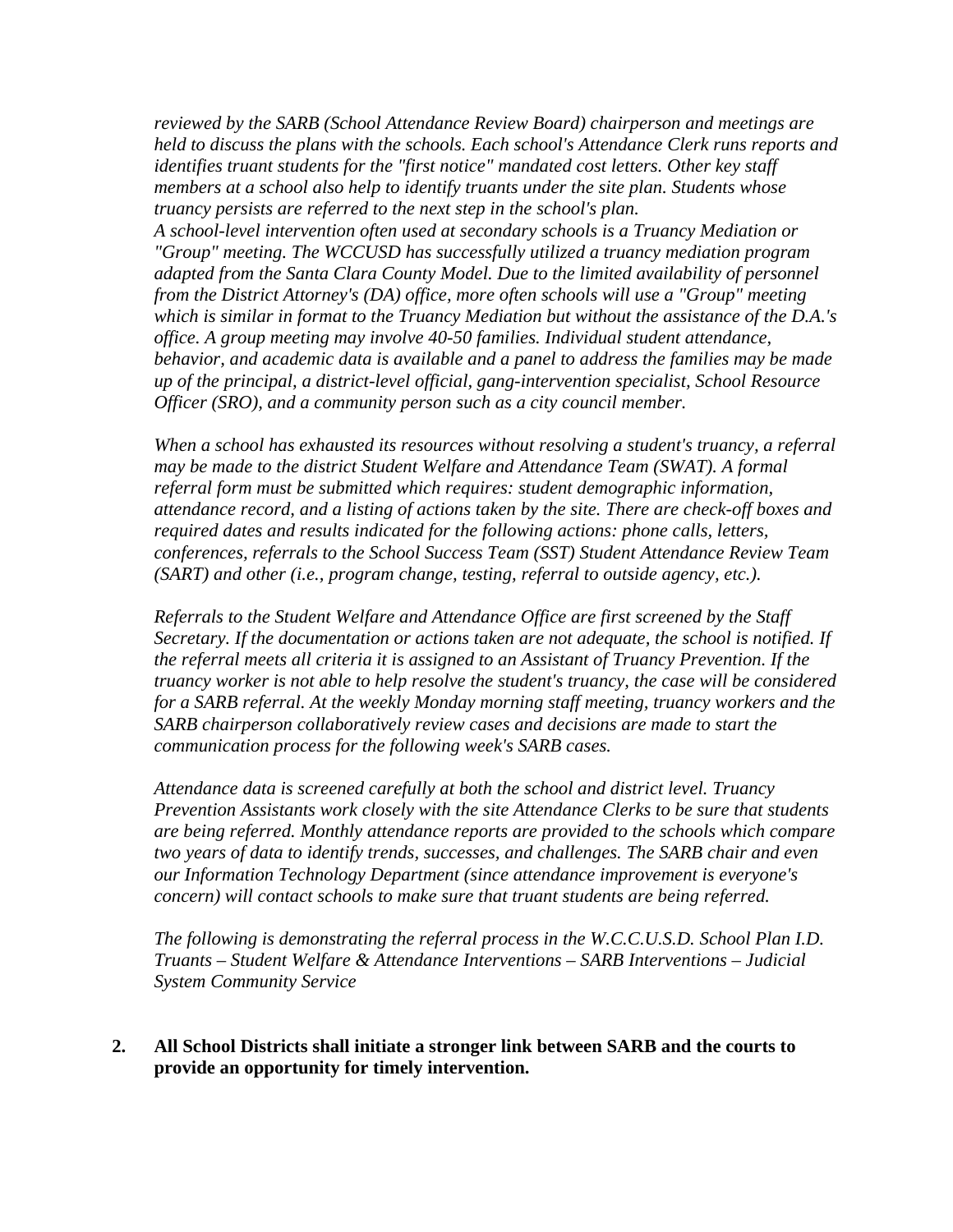*reviewed by the SARB (School Attendance Review Board) chairperson and meetings are held to discuss the plans with the schools. Each school's Attendance Clerk runs reports and identifies truant students for the "first notice" mandated cost letters. Other key staff members at a school also help to identify truants under the site plan. Students whose truancy persists are referred to the next step in the school's plan.* 

*A school-level intervention often used at secondary schools is a Truancy Mediation or "Group" meeting. The WCCUSD has successfully utilized a truancy mediation program adapted from the Santa Clara County Model. Due to the limited availability of personnel from the District Attorney's (DA) office, more often schools will use a "Group" meeting which is similar in format to the Truancy Mediation but without the assistance of the D.A.'s office. A group meeting may involve 40-50 families. Individual student attendance, behavior, and academic data is available and a panel to address the families may be made up of the principal, a district-level official, gang-intervention specialist, School Resource Officer (SRO), and a community person such as a city council member.* 

*When a school has exhausted its resources without resolving a student's truancy, a referral may be made to the district Student Welfare and Attendance Team (SWAT). A formal referral form must be submitted which requires: student demographic information, attendance record, and a listing of actions taken by the site. There are check-off boxes and required dates and results indicated for the following actions: phone calls, letters, conferences, referrals to the School Success Team (SST) Student Attendance Review Team (SART) and other (i.e., program change, testing, referral to outside agency, etc.).* 

*Referrals to the Student Welfare and Attendance Office are first screened by the Staff Secretary. If the documentation or actions taken are not adequate, the school is notified. If the referral meets all criteria it is assigned to an Assistant of Truancy Prevention. If the truancy worker is not able to help resolve the student's truancy, the case will be considered for a SARB referral. At the weekly Monday morning staff meeting, truancy workers and the SARB chairperson collaboratively review cases and decisions are made to start the communication process for the following week's SARB cases.* 

*Attendance data is screened carefully at both the school and district level. Truancy Prevention Assistants work closely with the site Attendance Clerks to be sure that students are being referred. Monthly attendance reports are provided to the schools which compare two years of data to identify trends, successes, and challenges. The SARB chair and even our Information Technology Department (since attendance improvement is everyone's concern) will contact schools to make sure that truant students are being referred.* 

*The following is demonstrating the referral process in the W.C.C.U.S.D. School Plan I.D. Truants – Student Welfare & Attendance Interventions – SARB Interventions – Judicial System Community Service* 

#### **2. All School Districts shall initiate a stronger link between SARB and the courts to provide an opportunity for timely intervention.**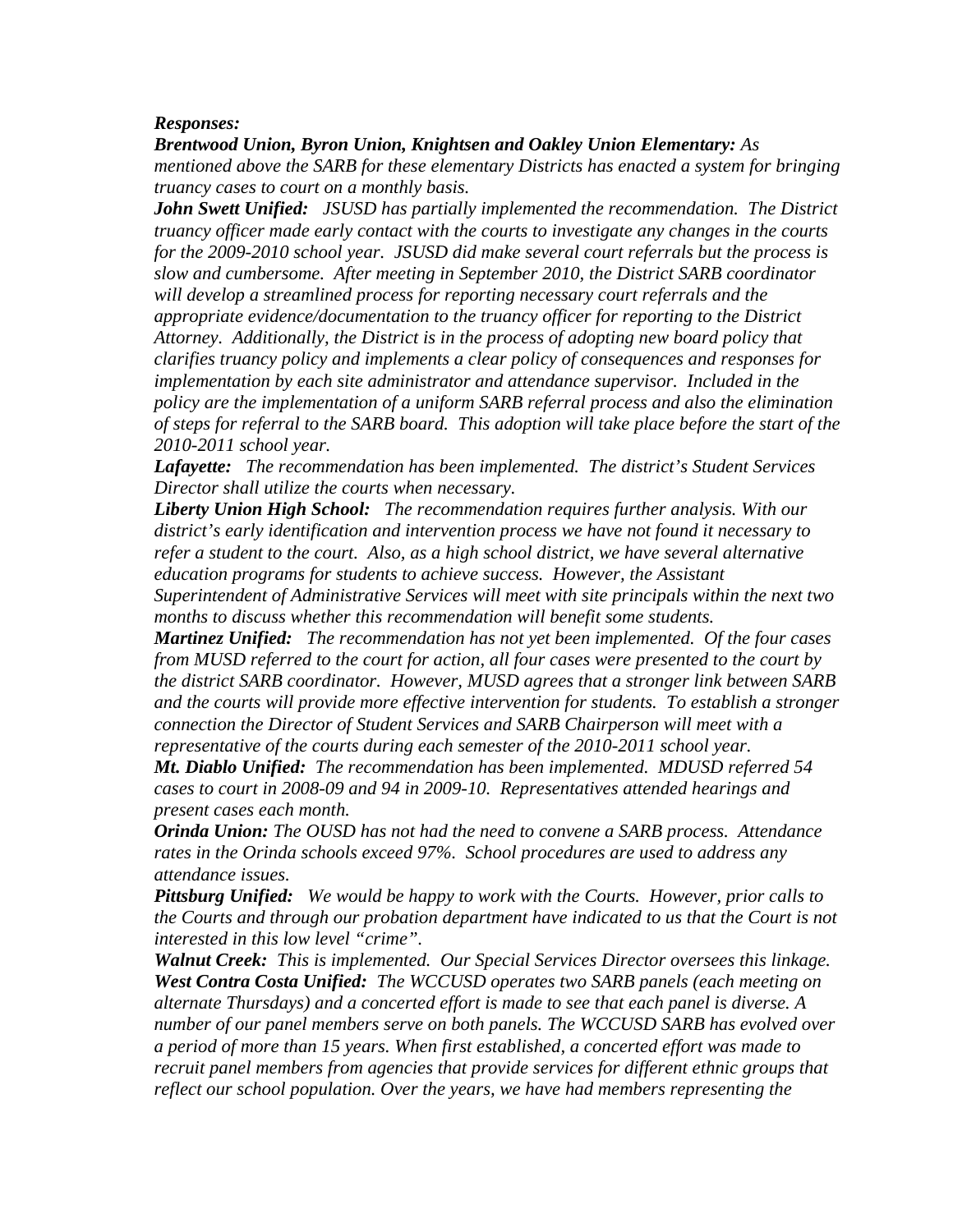#### *Responses:*

*Brentwood Union, Byron Union, Knightsen and Oakley Union Elementary: As mentioned above the SARB for these elementary Districts has enacted a system for bringing truancy cases to court on a monthly basis.* 

*John Swett Unified: JSUSD has partially implemented the recommendation. The District truancy officer made early contact with the courts to investigate any changes in the courts for the 2009-2010 school year. JSUSD did make several court referrals but the process is slow and cumbersome. After meeting in September 2010, the District SARB coordinator will develop a streamlined process for reporting necessary court referrals and the appropriate evidence/documentation to the truancy officer for reporting to the District Attorney. Additionally, the District is in the process of adopting new board policy that clarifies truancy policy and implements a clear policy of consequences and responses for implementation by each site administrator and attendance supervisor. Included in the policy are the implementation of a uniform SARB referral process and also the elimination of steps for referral to the SARB board. This adoption will take place before the start of the 2010-2011 school year.* 

*Lafayette: The recommendation has been implemented. The district's Student Services Director shall utilize the courts when necessary.* 

*Liberty Union High School: The recommendation requires further analysis. With our district's early identification and intervention process we have not found it necessary to refer a student to the court. Also, as a high school district, we have several alternative education programs for students to achieve success. However, the Assistant Superintendent of Administrative Services will meet with site principals within the next two months to discuss whether this recommendation will benefit some students.* 

*Martinez Unified: The recommendation has not yet been implemented. Of the four cases from MUSD referred to the court for action, all four cases were presented to the court by the district SARB coordinator. However, MUSD agrees that a stronger link between SARB and the courts will provide more effective intervention for students. To establish a stronger connection the Director of Student Services and SARB Chairperson will meet with a representative of the courts during each semester of the 2010-2011 school year.* 

*Mt. Diablo Unified: The recommendation has been implemented. MDUSD referred 54 cases to court in 2008-09 and 94 in 2009-10. Representatives attended hearings and present cases each month.*

*Orinda Union: The OUSD has not had the need to convene a SARB process. Attendance rates in the Orinda schools exceed 97%. School procedures are used to address any attendance issues.* 

*Pittsburg Unified: We would be happy to work with the Courts. However, prior calls to the Courts and through our probation department have indicated to us that the Court is not interested in this low level "crime".* 

*Walnut Creek: This is implemented. Our Special Services Director oversees this linkage. West Contra Costa Unified: The WCCUSD operates two SARB panels (each meeting on alternate Thursdays) and a concerted effort is made to see that each panel is diverse. A number of our panel members serve on both panels. The WCCUSD SARB has evolved over a period of more than 15 years. When first established, a concerted effort was made to recruit panel members from agencies that provide services for different ethnic groups that reflect our school population. Over the years, we have had members representing the*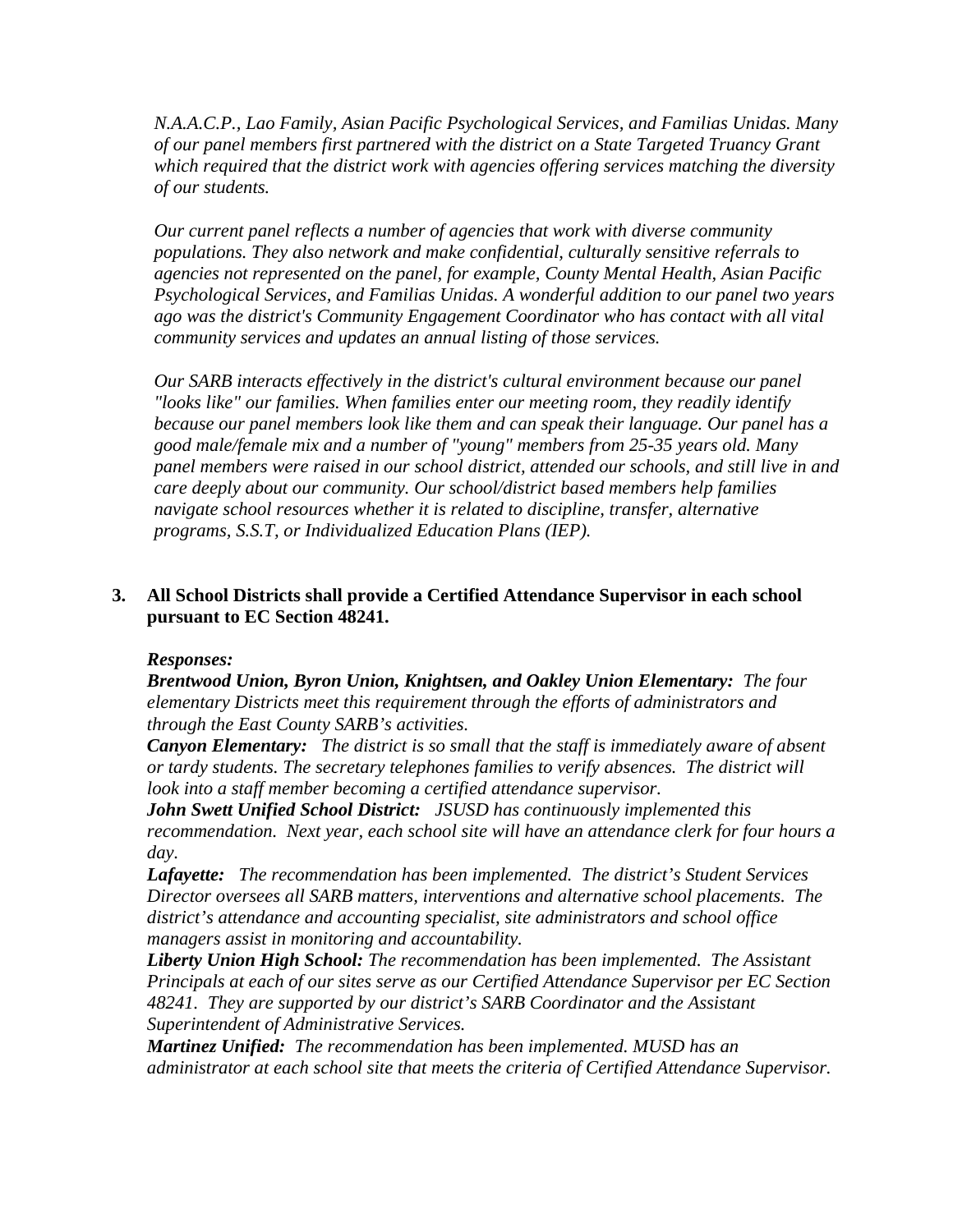*N.A.A.C.P., Lao Family, Asian Pacific Psychological Services, and Familias Unidas. Many of our panel members first partnered with the district on a State Targeted Truancy Grant which required that the district work with agencies offering services matching the diversity of our students.* 

*Our current panel reflects a number of agencies that work with diverse community populations. They also network and make confidential, culturally sensitive referrals to agencies not represented on the panel, for example, County Mental Health, Asian Pacific Psychological Services, and Familias Unidas. A wonderful addition to our panel two years ago was the district's Community Engagement Coordinator who has contact with all vital community services and updates an annual listing of those services.* 

*Our SARB interacts effectively in the district's cultural environment because our panel "looks like" our families. When families enter our meeting room, they readily identify because our panel members look like them and can speak their language. Our panel has a good male/female mix and a number of "young" members from 25-35 years old. Many panel members were raised in our school district, attended our schools, and still live in and care deeply about our community. Our school/district based members help families navigate school resources whether it is related to discipline, transfer, alternative programs, S.S.T, or Individualized Education Plans (IEP).* 

## **3. All School Districts shall provide a Certified Attendance Supervisor in each school pursuant to EC Section 48241.**

### *Responses:*

*Brentwood Union, Byron Union, Knightsen, and Oakley Union Elementary: The four elementary Districts meet this requirement through the efforts of administrators and through the East County SARB's activities.* 

*Canyon Elementary: The district is so small that the staff is immediately aware of absent or tardy students. The secretary telephones families to verify absences. The district will look into a staff member becoming a certified attendance supervisor.* 

*John Swett Unified School District: JSUSD has continuously implemented this recommendation. Next year, each school site will have an attendance clerk for four hours a day.* 

*Lafayette: The recommendation has been implemented. The district's Student Services Director oversees all SARB matters, interventions and alternative school placements. The district's attendance and accounting specialist, site administrators and school office managers assist in monitoring and accountability.* 

*Liberty Union High School: The recommendation has been implemented. The Assistant Principals at each of our sites serve as our Certified Attendance Supervisor per EC Section 48241. They are supported by our district's SARB Coordinator and the Assistant Superintendent of Administrative Services.* 

*Martinez Unified: The recommendation has been implemented. MUSD has an administrator at each school site that meets the criteria of Certified Attendance Supervisor.*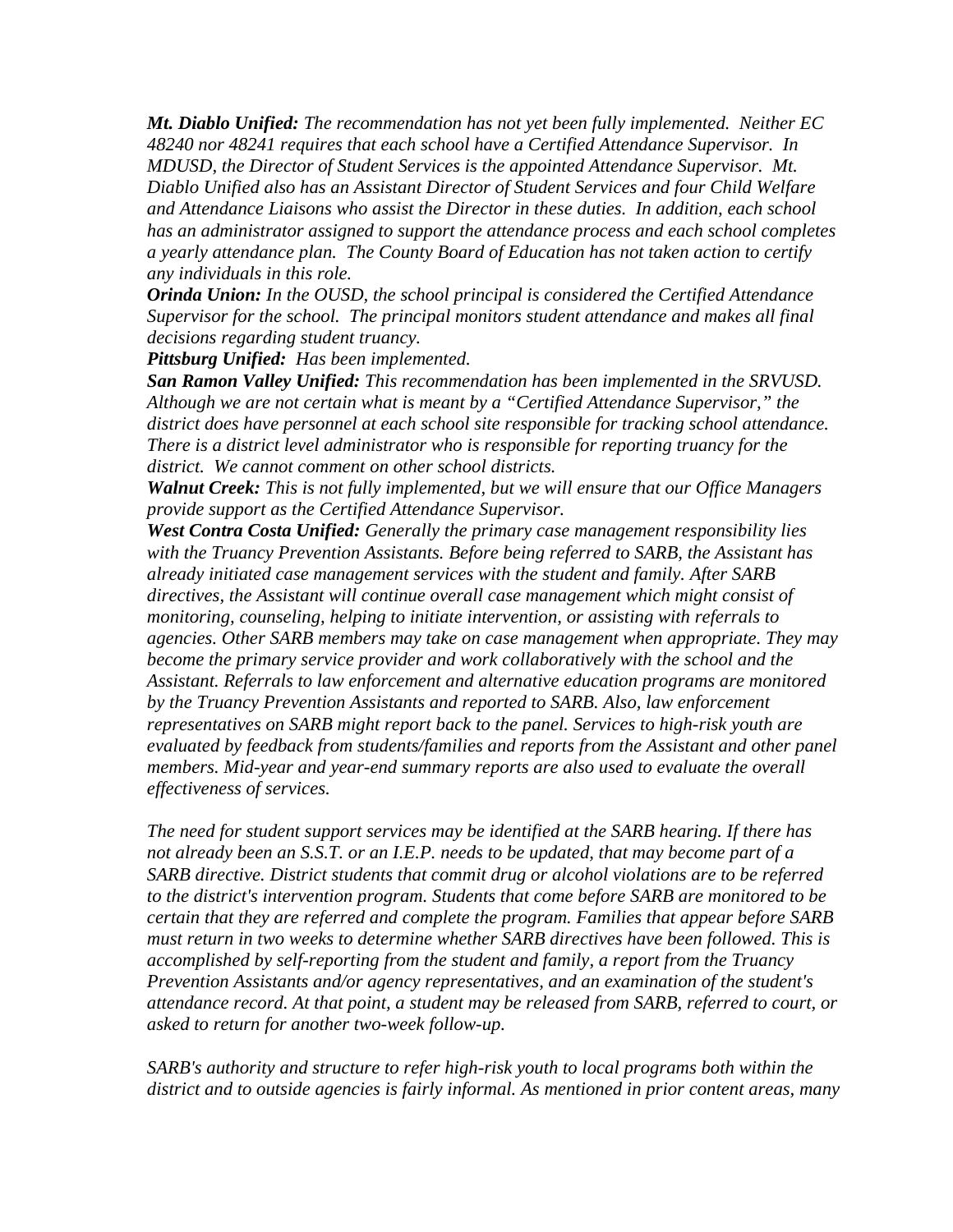*Mt. Diablo Unified: The recommendation has not yet been fully implemented. Neither EC 48240 nor 48241 requires that each school have a Certified Attendance Supervisor. In MDUSD, the Director of Student Services is the appointed Attendance Supervisor. Mt. Diablo Unified also has an Assistant Director of Student Services and four Child Welfare and Attendance Liaisons who assist the Director in these duties. In addition, each school has an administrator assigned to support the attendance process and each school completes a yearly attendance plan. The County Board of Education has not taken action to certify any individuals in this role.* 

*Orinda Union: In the OUSD, the school principal is considered the Certified Attendance Supervisor for the school. The principal monitors student attendance and makes all final decisions regarding student truancy.* 

*Pittsburg Unified: Has been implemented.* 

*San Ramon Valley Unified: This recommendation has been implemented in the SRVUSD. Although we are not certain what is meant by a "Certified Attendance Supervisor," the district does have personnel at each school site responsible for tracking school attendance. There is a district level administrator who is responsible for reporting truancy for the district. We cannot comment on other school districts.* 

*Walnut Creek: This is not fully implemented, but we will ensure that our Office Managers provide support as the Certified Attendance Supervisor.* 

*West Contra Costa Unified: Generally the primary case management responsibility lies with the Truancy Prevention Assistants. Before being referred to SARB, the Assistant has already initiated case management services with the student and family. After SARB directives, the Assistant will continue overall case management which might consist of monitoring, counseling, helping to initiate intervention, or assisting with referrals to agencies. Other SARB members may take on case management when appropriate. They may become the primary service provider and work collaboratively with the school and the Assistant. Referrals to law enforcement and alternative education programs are monitored by the Truancy Prevention Assistants and reported to SARB. Also, law enforcement representatives on SARB might report back to the panel. Services to high-risk youth are evaluated by feedback from students/families and reports from the Assistant and other panel members. Mid-year and year-end summary reports are also used to evaluate the overall effectiveness of services.* 

*The need for student support services may be identified at the SARB hearing. If there has not already been an S.S.T. or an I.E.P. needs to be updated, that may become part of a SARB directive. District students that commit drug or alcohol violations are to be referred to the district's intervention program. Students that come before SARB are monitored to be certain that they are referred and complete the program. Families that appear before SARB must return in two weeks to determine whether SARB directives have been followed. This is accomplished by self-reporting from the student and family, a report from the Truancy Prevention Assistants and/or agency representatives, and an examination of the student's attendance record. At that point, a student may be released from SARB, referred to court, or asked to return for another two-week follow-up.* 

*SARB's authority and structure to refer high-risk youth to local programs both within the district and to outside agencies is fairly informal. As mentioned in prior content areas, many*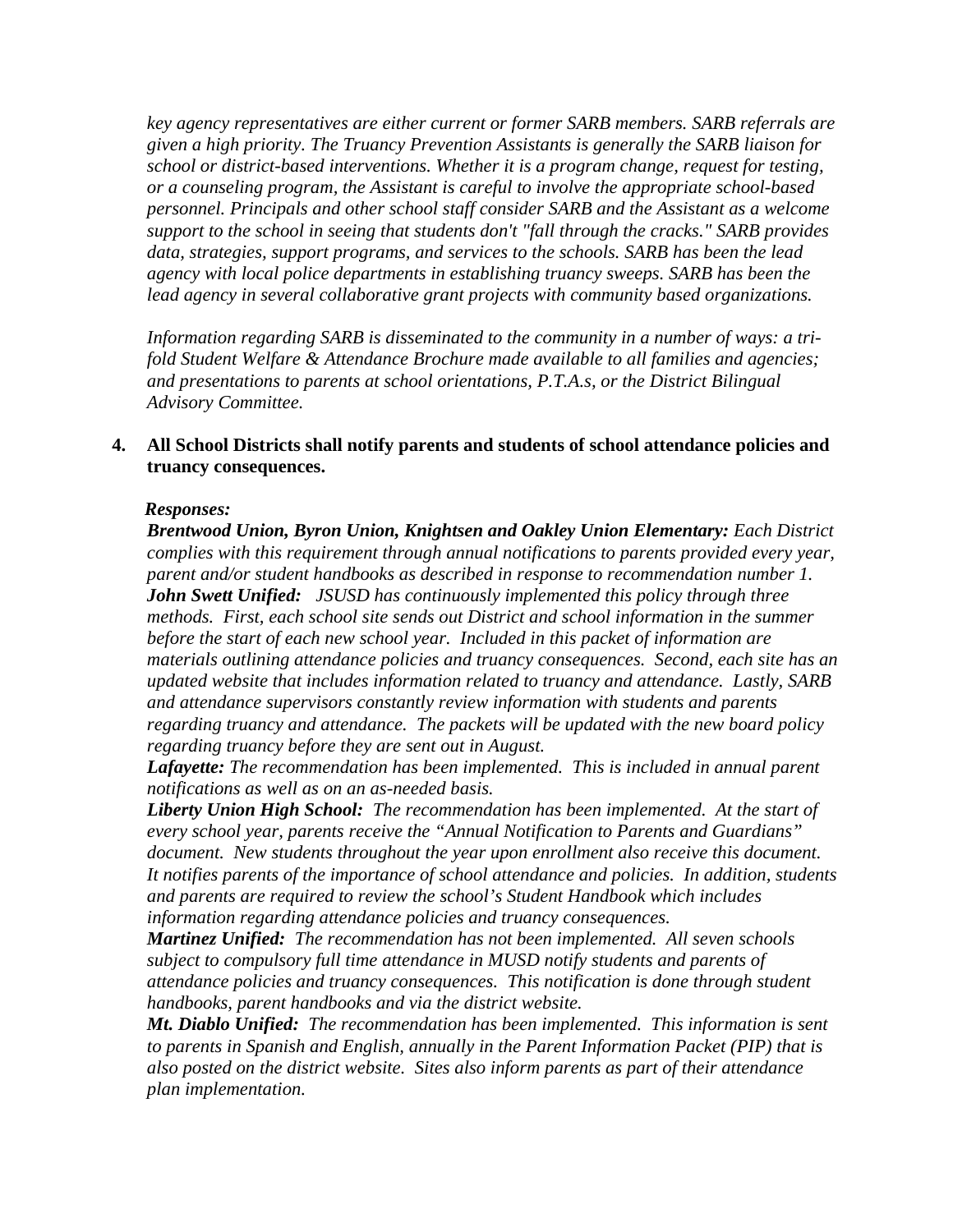*key agency representatives are either current or former SARB members. SARB referrals are given a high priority. The Truancy Prevention Assistants is generally the SARB liaison for school or district-based interventions. Whether it is a program change, request for testing, or a counseling program, the Assistant is careful to involve the appropriate school-based personnel. Principals and other school staff consider SARB and the Assistant as a welcome support to the school in seeing that students don't "fall through the cracks." SARB provides data, strategies, support programs, and services to the schools. SARB has been the lead agency with local police departments in establishing truancy sweeps. SARB has been the lead agency in several collaborative grant projects with community based organizations.* 

*Information regarding SARB is disseminated to the community in a number of ways: a trifold Student Welfare & Attendance Brochure made available to all families and agencies; and presentations to parents at school orientations, P.T.A.s, or the District Bilingual Advisory Committee.* 

#### **4. All School Districts shall notify parents and students of school attendance policies and truancy consequences.**

#### *Responses:*

*Brentwood Union, Byron Union, Knightsen and Oakley Union Elementary: Each District complies with this requirement through annual notifications to parents provided every year, parent and/or student handbooks as described in response to recommendation number 1. John Swett Unified: JSUSD has continuously implemented this policy through three methods. First, each school site sends out District and school information in the summer before the start of each new school year. Included in this packet of information are materials outlining attendance policies and truancy consequences. Second, each site has an updated website that includes information related to truancy and attendance. Lastly, SARB and attendance supervisors constantly review information with students and parents regarding truancy and attendance. The packets will be updated with the new board policy regarding truancy before they are sent out in August.* 

*Lafayette: The recommendation has been implemented. This is included in annual parent notifications as well as on an as-needed basis.* 

*Liberty Union High School: The recommendation has been implemented. At the start of every school year, parents receive the "Annual Notification to Parents and Guardians" document. New students throughout the year upon enrollment also receive this document. It notifies parents of the importance of school attendance and policies. In addition, students and parents are required to review the school's Student Handbook which includes information regarding attendance policies and truancy consequences.* 

*Martinez Unified: The recommendation has not been implemented. All seven schools subject to compulsory full time attendance in MUSD notify students and parents of attendance policies and truancy consequences. This notification is done through student handbooks, parent handbooks and via the district website.* 

*Mt. Diablo Unified: The recommendation has been implemented. This information is sent to parents in Spanish and English, annually in the Parent Information Packet (PIP) that is also posted on the district website. Sites also inform parents as part of their attendance plan implementation.*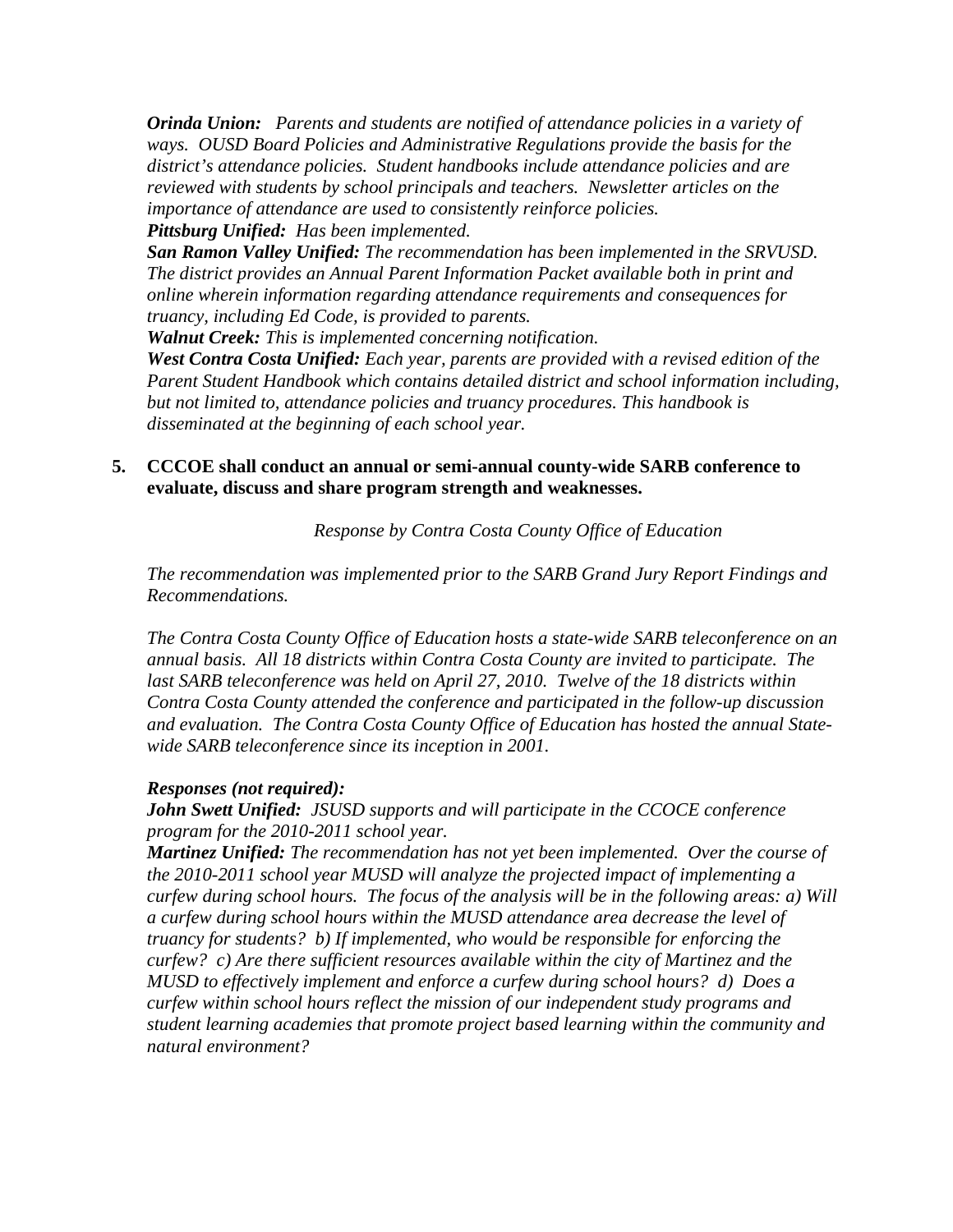*Orinda Union: Parents and students are notified of attendance policies in a variety of ways. OUSD Board Policies and Administrative Regulations provide the basis for the district's attendance policies. Student handbooks include attendance policies and are reviewed with students by school principals and teachers. Newsletter articles on the importance of attendance are used to consistently reinforce policies.*

*Pittsburg Unified: Has been implemented.* 

*San Ramon Valley Unified: The recommendation has been implemented in the SRVUSD. The district provides an Annual Parent Information Packet available both in print and online wherein information regarding attendance requirements and consequences for truancy, including Ed Code, is provided to parents.* 

*Walnut Creek: This is implemented concerning notification.* 

*West Contra Costa Unified: Each year, parents are provided with a revised edition of the Parent Student Handbook which contains detailed district and school information including, but not limited to, attendance policies and truancy procedures. This handbook is disseminated at the beginning of each school year.* 

## **5. CCCOE shall conduct an annual or semi-annual county-wide SARB conference to evaluate, discuss and share program strength and weaknesses.**

*Response by Contra Costa County Office of Education* 

*The recommendation was implemented prior to the SARB Grand Jury Report Findings and Recommendations.* 

*The Contra Costa County Office of Education hosts a state-wide SARB teleconference on an annual basis. All 18 districts within Contra Costa County are invited to participate. The last SARB teleconference was held on April 27, 2010. Twelve of the 18 districts within Contra Costa County attended the conference and participated in the follow-up discussion and evaluation. The Contra Costa County Office of Education has hosted the annual Statewide SARB teleconference since its inception in 2001.* 

### *Responses (not required):*

*John Swett Unified: JSUSD supports and will participate in the CCOCE conference program for the 2010-2011 school year.* 

*Martinez Unified: The recommendation has not yet been implemented. Over the course of the 2010-2011 school year MUSD will analyze the projected impact of implementing a curfew during school hours. The focus of the analysis will be in the following areas: a) Will a curfew during school hours within the MUSD attendance area decrease the level of truancy for students? b) If implemented, who would be responsible for enforcing the curfew? c) Are there sufficient resources available within the city of Martinez and the MUSD to effectively implement and enforce a curfew during school hours? d) Does a curfew within school hours reflect the mission of our independent study programs and student learning academies that promote project based learning within the community and natural environment?*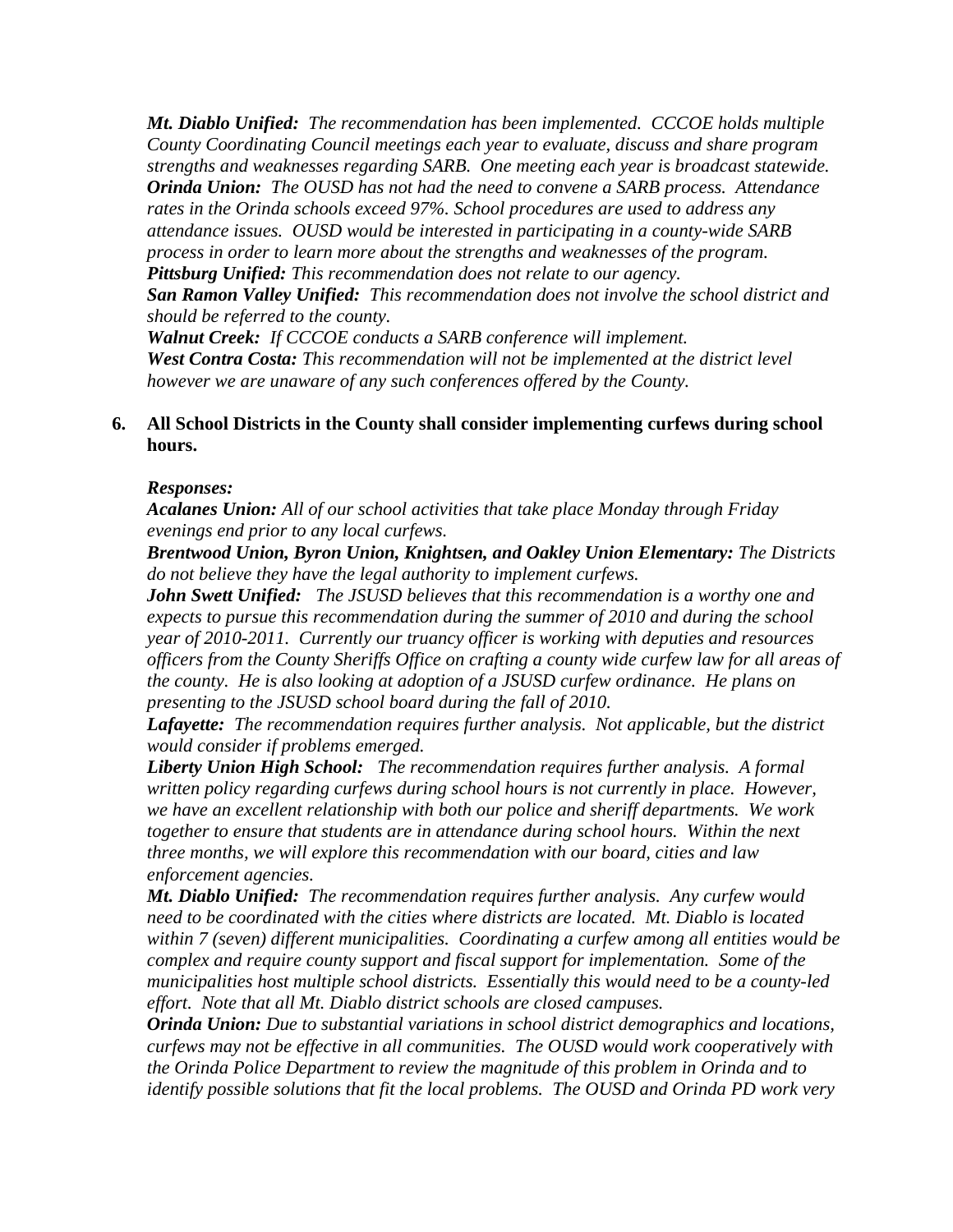*Mt. Diablo Unified: The recommendation has been implemented. CCCOE holds multiple County Coordinating Council meetings each year to evaluate, discuss and share program strengths and weaknesses regarding SARB. One meeting each year is broadcast statewide. Orinda Union: The OUSD has not had the need to convene a SARB process. Attendance rates in the Orinda schools exceed 97%. School procedures are used to address any attendance issues. OUSD would be interested in participating in a county-wide SARB process in order to learn more about the strengths and weaknesses of the program. Pittsburg Unified: This recommendation does not relate to our agency.* 

*San Ramon Valley Unified: This recommendation does not involve the school district and should be referred to the county.* 

*Walnut Creek: If CCCOE conducts a SARB conference will implement. West Contra Costa: This recommendation will not be implemented at the district level however we are unaware of any such conferences offered by the County.* 

### **6. All School Districts in the County shall consider implementing curfews during school hours.**

#### *Responses:*

*Acalanes Union: All of our school activities that take place Monday through Friday evenings end prior to any local curfews.* 

*Brentwood Union, Byron Union, Knightsen, and Oakley Union Elementary: The Districts do not believe they have the legal authority to implement curfews.* 

*John Swett Unified: The JSUSD believes that this recommendation is a worthy one and expects to pursue this recommendation during the summer of 2010 and during the school year of 2010-2011. Currently our truancy officer is working with deputies and resources officers from the County Sheriffs Office on crafting a county wide curfew law for all areas of the county. He is also looking at adoption of a JSUSD curfew ordinance. He plans on presenting to the JSUSD school board during the fall of 2010.* 

*Lafayette: The recommendation requires further analysis. Not applicable, but the district would consider if problems emerged.* 

*Liberty Union High School: The recommendation requires further analysis. A formal written policy regarding curfews during school hours is not currently in place. However, we have an excellent relationship with both our police and sheriff departments. We work together to ensure that students are in attendance during school hours. Within the next three months, we will explore this recommendation with our board, cities and law enforcement agencies.* 

*Mt. Diablo Unified: The recommendation requires further analysis. Any curfew would need to be coordinated with the cities where districts are located. Mt. Diablo is located within 7 (seven) different municipalities. Coordinating a curfew among all entities would be complex and require county support and fiscal support for implementation. Some of the municipalities host multiple school districts. Essentially this would need to be a county-led effort. Note that all Mt. Diablo district schools are closed campuses.* 

*Orinda Union: Due to substantial variations in school district demographics and locations, curfews may not be effective in all communities. The OUSD would work cooperatively with the Orinda Police Department to review the magnitude of this problem in Orinda and to identify possible solutions that fit the local problems. The OUSD and Orinda PD work very*